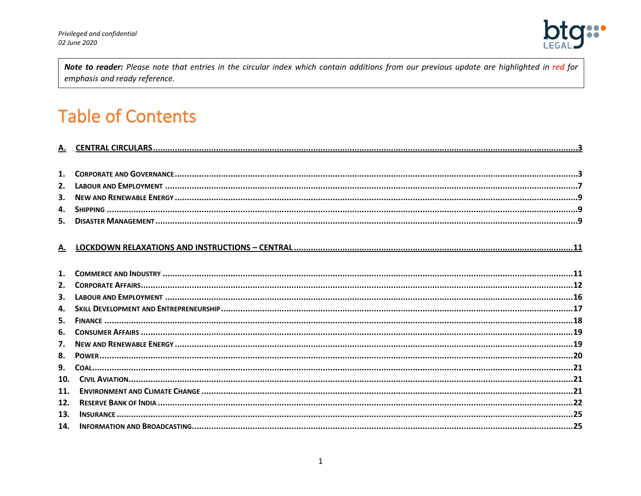

Note to reader: Please note that entries in the circular index which contain additions from our previous update are highlighted in red for emphasis and ready reference.

# **Table of Contents**

| А.  |  |
|-----|--|
|     |  |
|     |  |
|     |  |
|     |  |
| 5.  |  |
| 6.  |  |
| 7.  |  |
| 8.  |  |
|     |  |
| 10. |  |
| 11. |  |
| 12. |  |
| 13. |  |
|     |  |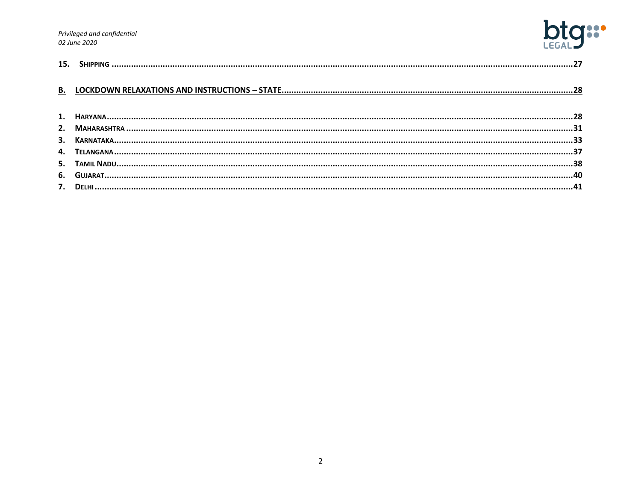Privileged and confidential 02 June 2020



| 15. |  |
|-----|--|
|     |  |
|     |  |
|     |  |
|     |  |
|     |  |
|     |  |
|     |  |
|     |  |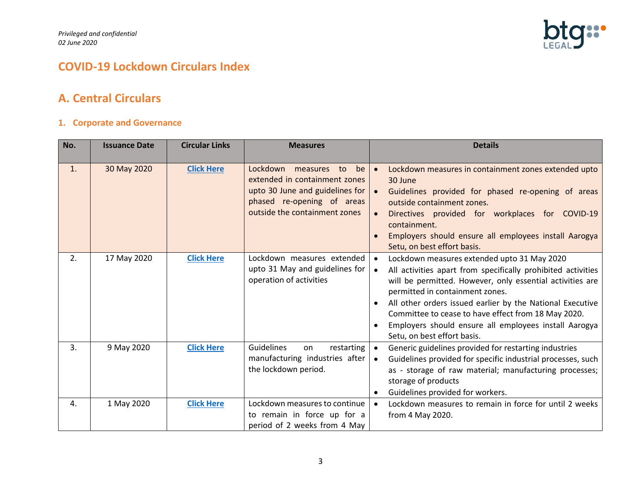

# **COVID-19 Lockdown Circulars Index**

# <span id="page-2-0"></span>**A. Central Circulars**

# <span id="page-2-1"></span>**1. Corporate and Governance**

| No. | <b>Issuance Date</b> | <b>Circular Links</b> | <b>Measures</b>                                                                                                                                                  | <b>Details</b>                                                                                                                                                                                                                                                                                                                                                                                                                                    |
|-----|----------------------|-----------------------|------------------------------------------------------------------------------------------------------------------------------------------------------------------|---------------------------------------------------------------------------------------------------------------------------------------------------------------------------------------------------------------------------------------------------------------------------------------------------------------------------------------------------------------------------------------------------------------------------------------------------|
| 1.  | 30 May 2020          | <b>Click Here</b>     | Lockdown<br>measures to<br>be<br>extended in containment zones<br>upto 30 June and guidelines for<br>phased re-opening of areas<br>outside the containment zones | Lockdown measures in containment zones extended upto<br>30 June<br>Guidelines provided for phased re-opening of areas<br>outside containment zones.<br>Directives provided for workplaces for COVID-19<br>containment.<br>Employers should ensure all employees install Aarogya<br>Setu, on best effort basis.                                                                                                                                    |
| 2.  | 17 May 2020          | <b>Click Here</b>     | Lockdown measures extended<br>upto 31 May and guidelines for<br>operation of activities                                                                          | Lockdown measures extended upto 31 May 2020<br>All activities apart from specifically prohibited activities<br>$\bullet$<br>will be permitted. However, only essential activities are<br>permitted in containment zones.<br>All other orders issued earlier by the National Executive<br>Committee to cease to have effect from 18 May 2020.<br>Employers should ensure all employees install Aarogya<br>$\bullet$<br>Setu, on best effort basis. |
| 3.  | 9 May 2020           | <b>Click Here</b>     | Guidelines<br>restarting<br>on<br>manufacturing industries after<br>the lockdown period.                                                                         | Generic guidelines provided for restarting industries<br>Guidelines provided for specific industrial processes, such<br>$\bullet$<br>as - storage of raw material; manufacturing processes;<br>storage of products<br>Guidelines provided for workers.                                                                                                                                                                                            |
| 4.  | 1 May 2020           | <b>Click Here</b>     | Lockdown measures to continue<br>to remain in force up for a<br>period of 2 weeks from 4 May                                                                     | Lockdown measures to remain in force for until 2 weeks<br>from 4 May 2020.                                                                                                                                                                                                                                                                                                                                                                        |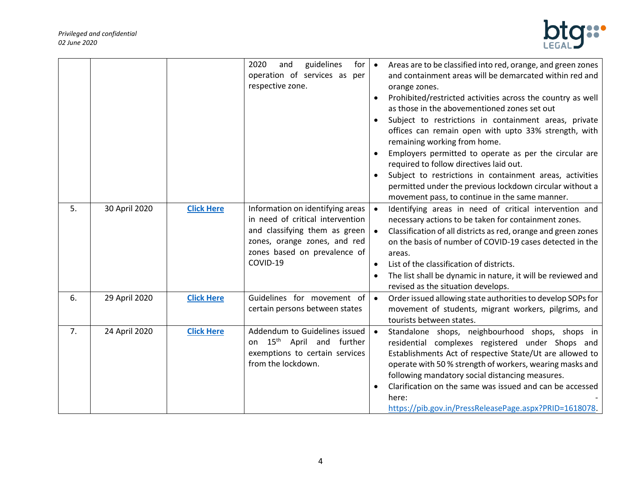

|    |               |                   | 2020<br>guidelines<br>and<br>for<br>operation of services as per<br>respective zone.                                                                                              | $\bullet$<br>$\bullet$ | Areas are to be classified into red, orange, and green zones<br>and containment areas will be demarcated within red and<br>orange zones.<br>Prohibited/restricted activities across the country as well<br>as those in the abovementioned zones set out<br>Subject to restrictions in containment areas, private<br>offices can remain open with upto 33% strength, with<br>remaining working from home.<br>Employers permitted to operate as per the circular are<br>required to follow directives laid out.<br>Subject to restrictions in containment areas, activities<br>permitted under the previous lockdown circular without a<br>movement pass, to continue in the same manner. |
|----|---------------|-------------------|-----------------------------------------------------------------------------------------------------------------------------------------------------------------------------------|------------------------|-----------------------------------------------------------------------------------------------------------------------------------------------------------------------------------------------------------------------------------------------------------------------------------------------------------------------------------------------------------------------------------------------------------------------------------------------------------------------------------------------------------------------------------------------------------------------------------------------------------------------------------------------------------------------------------------|
| 5. | 30 April 2020 | <b>Click Here</b> | Information on identifying areas<br>in need of critical intervention<br>and classifying them as green<br>zones, orange zones, and red<br>zones based on prevalence of<br>COVID-19 | $\bullet$              | Identifying areas in need of critical intervention and<br>necessary actions to be taken for containment zones.<br>Classification of all districts as red, orange and green zones<br>on the basis of number of COVID-19 cases detected in the<br>areas.<br>List of the classification of districts.<br>The list shall be dynamic in nature, it will be reviewed and<br>revised as the situation develops.                                                                                                                                                                                                                                                                                |
| 6. | 29 April 2020 | <b>Click Here</b> | Guidelines for movement of<br>certain persons between states                                                                                                                      | $\bullet$              | Order issued allowing state authorities to develop SOPs for<br>movement of students, migrant workers, pilgrims, and<br>tourists between states.                                                                                                                                                                                                                                                                                                                                                                                                                                                                                                                                         |
| 7. | 24 April 2020 | <b>Click Here</b> | Addendum to Guidelines issued<br>on 15 <sup>th</sup> April and further<br>exemptions to certain services<br>from the lockdown.                                                    |                        | Standalone shops, neighbourhood shops, shops in<br>residential complexes registered under Shops and<br>Establishments Act of respective State/Ut are allowed to<br>operate with 50 % strength of workers, wearing masks and<br>following mandatory social distancing measures.<br>Clarification on the same was issued and can be accessed<br>here:<br>https://pib.gov.in/PressReleasePage.aspx?PRID=1618078.                                                                                                                                                                                                                                                                           |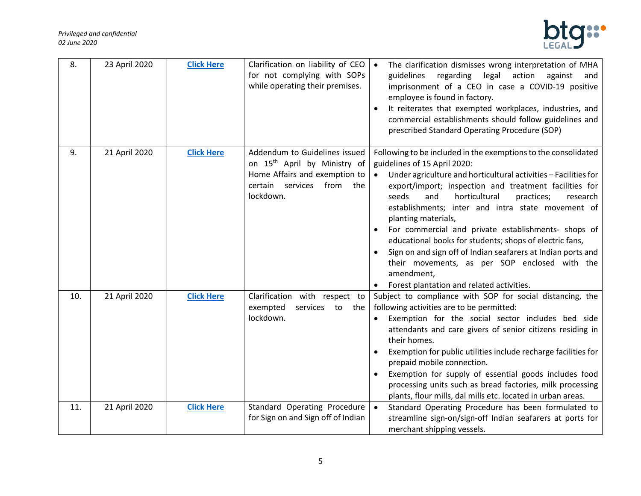

| 8.  | 23 April 2020 | <b>Click Here</b> | Clarification on liability of CEO<br>for not complying with SOPs<br>while operating their premises.                                                     | The clarification dismisses wrong interpretation of MHA<br>$\bullet$<br>regarding legal<br>action<br>guidelines<br>against<br>and<br>imprisonment of a CEO in case a COVID-19 positive<br>employee is found in factory.<br>It reiterates that exempted workplaces, industries, and<br>commercial establishments should follow guidelines and<br>prescribed Standard Operating Procedure (SOP)                                                                                                                                                                                                                                                                                              |
|-----|---------------|-------------------|---------------------------------------------------------------------------------------------------------------------------------------------------------|--------------------------------------------------------------------------------------------------------------------------------------------------------------------------------------------------------------------------------------------------------------------------------------------------------------------------------------------------------------------------------------------------------------------------------------------------------------------------------------------------------------------------------------------------------------------------------------------------------------------------------------------------------------------------------------------|
| 9.  | 21 April 2020 | <b>Click Here</b> | Addendum to Guidelines issued<br>on 15 <sup>th</sup> April by Ministry of<br>Home Affairs and exemption to<br>certain services from<br>the<br>lockdown. | Following to be included in the exemptions to the consolidated<br>guidelines of 15 April 2020:<br>Under agriculture and horticultural activities - Facilities for<br>$\bullet$<br>export/import; inspection and treatment facilities for<br>horticultural<br>seeds<br>and<br>practices;<br>research<br>establishments; inter and intra state movement of<br>planting materials,<br>For commercial and private establishments- shops of<br>$\bullet$<br>educational books for students; shops of electric fans,<br>Sign on and sign off of Indian seafarers at Indian ports and<br>their movements, as per SOP enclosed with the<br>amendment,<br>Forest plantation and related activities. |
| 10. | 21 April 2020 | <b>Click Here</b> | Clarification with respect to<br>exempted<br>services to the<br>lockdown.                                                                               | Subject to compliance with SOP for social distancing, the<br>following activities are to be permitted:<br>Exemption for the social sector includes bed side<br>attendants and care givers of senior citizens residing in<br>their homes.<br>Exemption for public utilities include recharge facilities for<br>$\bullet$<br>prepaid mobile connection.<br>Exemption for supply of essential goods includes food<br>processing units such as bread factories, milk processing<br>plants, flour mills, dal mills etc. located in urban areas.                                                                                                                                                 |
| 11. | 21 April 2020 | <b>Click Here</b> | Standard Operating Procedure<br>for Sign on and Sign off of Indian                                                                                      | Standard Operating Procedure has been formulated to<br>$\bullet$<br>streamline sign-on/sign-off Indian seafarers at ports for<br>merchant shipping vessels.                                                                                                                                                                                                                                                                                                                                                                                                                                                                                                                                |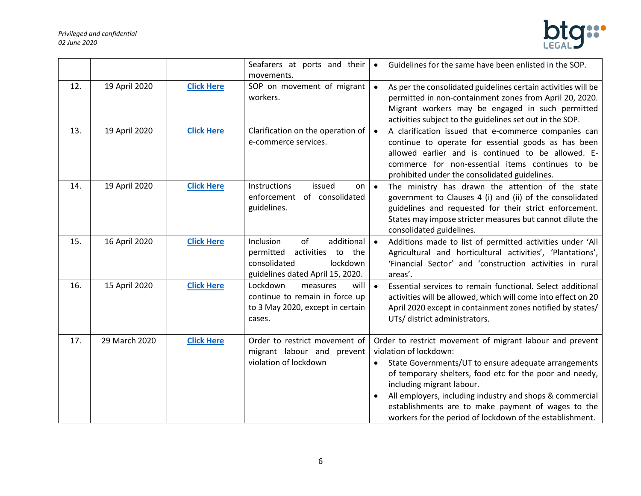

|     |               |                   | Seafarers at ports and their<br>movements.                                                                                      | Guidelines for the same have been enlisted in the SOP.<br>$\bullet$                                                                                                                                                                                                                                                                                                                                                           |
|-----|---------------|-------------------|---------------------------------------------------------------------------------------------------------------------------------|-------------------------------------------------------------------------------------------------------------------------------------------------------------------------------------------------------------------------------------------------------------------------------------------------------------------------------------------------------------------------------------------------------------------------------|
| 12. | 19 April 2020 | <b>Click Here</b> | SOP on movement of migrant<br>workers.                                                                                          | As per the consolidated guidelines certain activities will be<br>permitted in non-containment zones from April 20, 2020.<br>Migrant workers may be engaged in such permitted<br>activities subject to the guidelines set out in the SOP.                                                                                                                                                                                      |
| 13. | 19 April 2020 | <b>Click Here</b> | Clarification on the operation of<br>e-commerce services.                                                                       | A clarification issued that e-commerce companies can<br>$\bullet$<br>continue to operate for essential goods as has been<br>allowed earlier and is continued to be allowed. E-<br>commerce for non-essential items continues to be<br>prohibited under the consolidated guidelines.                                                                                                                                           |
| 14. | 19 April 2020 | <b>Click Here</b> | Instructions<br>issued<br>on<br>enforcement<br>of consolidated<br>guidelines.                                                   | The ministry has drawn the attention of the state<br>$\bullet$<br>government to Clauses 4 (i) and (ii) of the consolidated<br>guidelines and requested for their strict enforcement.<br>States may impose stricter measures but cannot dilute the<br>consolidated guidelines.                                                                                                                                                 |
| 15. | 16 April 2020 | <b>Click Here</b> | of<br>additional<br>Inclusion<br>permitted<br>activities to the<br>consolidated<br>lockdown<br>guidelines dated April 15, 2020. | Additions made to list of permitted activities under 'All<br>$\bullet$<br>Agricultural and horticultural activities', 'Plantations',<br>'Financial Sector' and 'construction activities in rural<br>areas'.                                                                                                                                                                                                                   |
| 16. | 15 April 2020 | <b>Click Here</b> | Lockdown<br>measures<br>will<br>continue to remain in force up<br>to 3 May 2020, except in certain<br>cases.                    | Essential services to remain functional. Select additional<br>$\bullet$<br>activities will be allowed, which will come into effect on 20<br>April 2020 except in containment zones notified by states/<br>UTs/ district administrators.                                                                                                                                                                                       |
| 17. | 29 March 2020 | <b>Click Here</b> | Order to restrict movement of<br>migrant labour and<br>prevent<br>violation of lockdown                                         | Order to restrict movement of migrant labour and prevent<br>violation of lockdown:<br>State Governments/UT to ensure adequate arrangements<br>of temporary shelters, food etc for the poor and needy,<br>including migrant labour.<br>All employers, including industry and shops & commercial<br>$\bullet$<br>establishments are to make payment of wages to the<br>workers for the period of lockdown of the establishment. |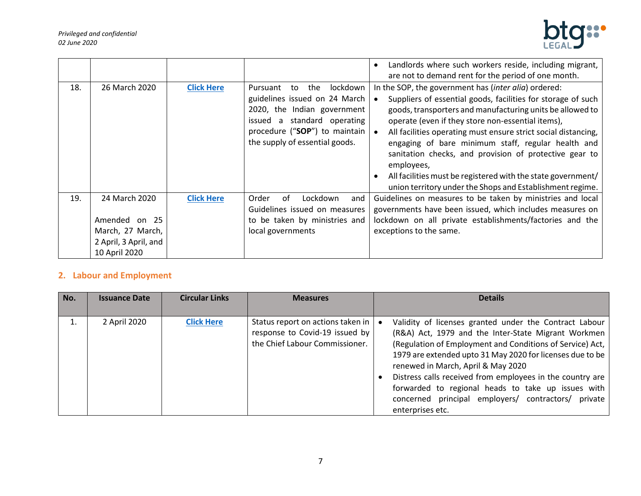

|     |                                                                                              |                   |                                                                                                                                                                                                        | Landlords where such workers reside, including migrant,<br>$\bullet$<br>are not to demand rent for the period of one month.                                                                                                                                                                                                                                                                                                                                                                                                                                                      |
|-----|----------------------------------------------------------------------------------------------|-------------------|--------------------------------------------------------------------------------------------------------------------------------------------------------------------------------------------------------|----------------------------------------------------------------------------------------------------------------------------------------------------------------------------------------------------------------------------------------------------------------------------------------------------------------------------------------------------------------------------------------------------------------------------------------------------------------------------------------------------------------------------------------------------------------------------------|
| 18. | 26 March 2020                                                                                | <b>Click Here</b> | lockdown<br>Pursuant<br>the<br>to<br>guidelines issued on 24 March<br>2020, the Indian government<br>a standard operating<br>issued<br>procedure ("SOP") to maintain<br>the supply of essential goods. | In the SOP, the government has (inter alia) ordered:<br>Suppliers of essential goods, facilities for storage of such<br>goods, transporters and manufacturing units be allowed to<br>operate (even if they store non-essential items),<br>All facilities operating must ensure strict social distancing,<br>engaging of bare minimum staff, regular health and<br>sanitation checks, and provision of protective gear to<br>employees,<br>All facilities must be registered with the state government/<br>$\bullet$<br>union territory under the Shops and Establishment regime. |
| 19. | 24 March 2020<br>Amended on 25<br>March, 27 March,<br>2 April, 3 April, and<br>10 April 2020 | <b>Click Here</b> | Order<br>of<br>Lockdown<br>and<br>Guidelines issued on measures<br>to be taken by ministries and<br>local governments                                                                                  | Guidelines on measures to be taken by ministries and local<br>governments have been issued, which includes measures on<br>lockdown on all private establishments/factories and the<br>exceptions to the same.                                                                                                                                                                                                                                                                                                                                                                    |

# <span id="page-6-0"></span>**2. Labour and Employment**

| No. | <b>Issuance Date</b> | <b>Circular Links</b> | <b>Measures</b>                                                                                       | <b>Details</b>                                                                                                                                                                                                                                                                                                                                                                                                                                                                 |
|-----|----------------------|-----------------------|-------------------------------------------------------------------------------------------------------|--------------------------------------------------------------------------------------------------------------------------------------------------------------------------------------------------------------------------------------------------------------------------------------------------------------------------------------------------------------------------------------------------------------------------------------------------------------------------------|
|     |                      |                       |                                                                                                       |                                                                                                                                                                                                                                                                                                                                                                                                                                                                                |
|     | 2 April 2020         | <b>Click Here</b>     | Status report on actions taken in<br>response to Covid-19 issued by<br>the Chief Labour Commissioner. | Validity of licenses granted under the Contract Labour<br>(R&A) Act, 1979 and the Inter-State Migrant Workmen<br>(Regulation of Employment and Conditions of Service) Act,<br>1979 are extended upto 31 May 2020 for licenses due to be<br>renewed in March, April & May 2020<br>Distress calls received from employees in the country are<br>forwarded to regional heads to take up issues with<br>concerned principal employers/ contractors/<br>private<br>enterprises etc. |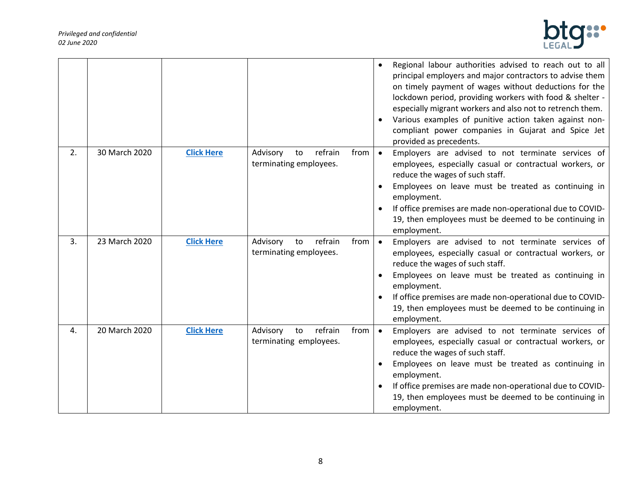

|    |               |                   |                                                     |      | Regional labour authorities advised to reach out to all<br>principal employers and major contractors to advise them<br>on timely payment of wages without deductions for the<br>lockdown period, providing workers with food & shelter -<br>especially migrant workers and also not to retrench them.<br>Various examples of punitive action taken against non-<br>compliant power companies in Gujarat and Spice Jet<br>provided as precedents. |
|----|---------------|-------------------|-----------------------------------------------------|------|--------------------------------------------------------------------------------------------------------------------------------------------------------------------------------------------------------------------------------------------------------------------------------------------------------------------------------------------------------------------------------------------------------------------------------------------------|
| 2. | 30 March 2020 | <b>Click Here</b> | refrain<br>Advisory<br>to<br>terminating employees. | from | Employers are advised to not terminate services of<br>employees, especially casual or contractual workers, or<br>reduce the wages of such staff.<br>Employees on leave must be treated as continuing in<br>employment.<br>If office premises are made non-operational due to COVID-<br>19, then employees must be deemed to be continuing in<br>employment.                                                                                      |
| 3. | 23 March 2020 | <b>Click Here</b> | refrain<br>Advisory<br>to<br>terminating employees. | from | Employers are advised to not terminate services of<br>$\bullet$<br>employees, especially casual or contractual workers, or<br>reduce the wages of such staff.<br>Employees on leave must be treated as continuing in<br>employment.<br>If office premises are made non-operational due to COVID-<br>$\bullet$<br>19, then employees must be deemed to be continuing in<br>employment.                                                            |
| 4. | 20 March 2020 | <b>Click Here</b> | refrain<br>Advisory<br>to<br>terminating employees. | from | Employers are advised to not terminate services of<br>$\bullet$<br>employees, especially casual or contractual workers, or<br>reduce the wages of such staff.<br>Employees on leave must be treated as continuing in<br>employment.<br>If office premises are made non-operational due to COVID-<br>19, then employees must be deemed to be continuing in<br>employment.                                                                         |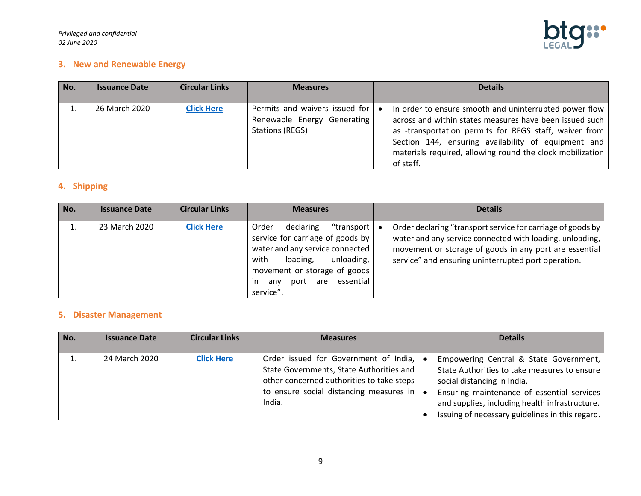

## <span id="page-8-0"></span>**3. New and Renewable Energy**

| No. | <b>Issuance Date</b> | <b>Circular Links</b> | <b>Measures</b>                                                                         |           | <b>Details</b>                                                                                                                                                                                                                                                                                               |
|-----|----------------------|-----------------------|-----------------------------------------------------------------------------------------|-----------|--------------------------------------------------------------------------------------------------------------------------------------------------------------------------------------------------------------------------------------------------------------------------------------------------------------|
|     | 26 March 2020        | <b>Click Here</b>     | Permits and waivers issued for<br>Renewable Energy Generating<br><b>Stations (REGS)</b> | $\bullet$ | In order to ensure smooth and uninterrupted power flow<br>across and within states measures have been issued such<br>as -transportation permits for REGS staff, waiver from<br>Section 144, ensuring availability of equipment and<br>materials required, allowing round the clock mobilization<br>of staff. |

# <span id="page-8-1"></span>**4. Shipping**

| No. | <b>Issuance Date</b> | <b>Circular Links</b> | <b>Measures</b>                                                                                                                                                                                                                | <b>Details</b>                                                                                                                                                                                                                           |
|-----|----------------------|-----------------------|--------------------------------------------------------------------------------------------------------------------------------------------------------------------------------------------------------------------------------|------------------------------------------------------------------------------------------------------------------------------------------------------------------------------------------------------------------------------------------|
|     | 23 March 2020        | <b>Click Here</b>     | declaring<br>"transport  <br>Order<br>service for carriage of goods by<br>water and any service connected<br>unloading,<br>with<br>loading,<br>movement or storage of goods<br>essential<br>port are<br>anv<br>ın<br>service". | Order declaring "transport service for carriage of goods by<br>water and any service connected with loading, unloading,<br>movement or storage of goods in any port are essential<br>service" and ensuring uninterrupted port operation. |

# <span id="page-8-2"></span>**5. Disaster Management**

| No. | <b>Issuance Date</b> | <b>Circular Links</b> | <b>Measures</b>                                                                                                                                                                             | <b>Details</b>                                                                                                                                                                                                                                                           |
|-----|----------------------|-----------------------|---------------------------------------------------------------------------------------------------------------------------------------------------------------------------------------------|--------------------------------------------------------------------------------------------------------------------------------------------------------------------------------------------------------------------------------------------------------------------------|
|     | 24 March 2020        | <b>Click Here</b>     | Order issued for Government of India,<br>State Governments, State Authorities and<br>other concerned authorities to take steps<br>to ensure social distancing measures in $\vert$<br>India. | Empowering Central & State Government,<br>State Authorities to take measures to ensure<br>social distancing in India.<br>Ensuring maintenance of essential services<br>and supplies, including health infrastructure.<br>Issuing of necessary guidelines in this regard. |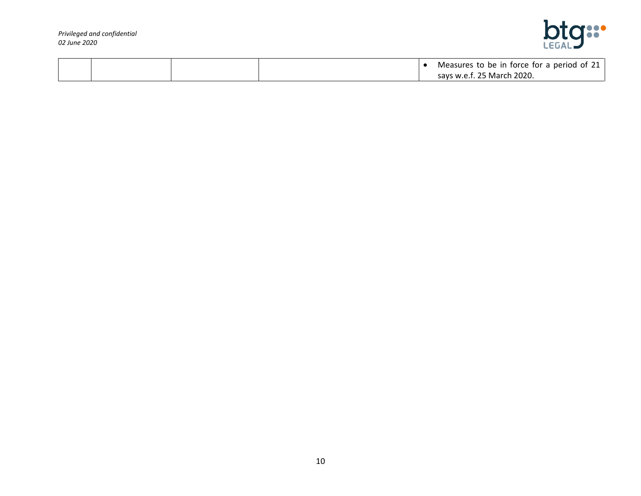

|  |  | Measures to be in force for a period of 21 |
|--|--|--------------------------------------------|
|  |  | says w.e.f. 25 March 2020.                 |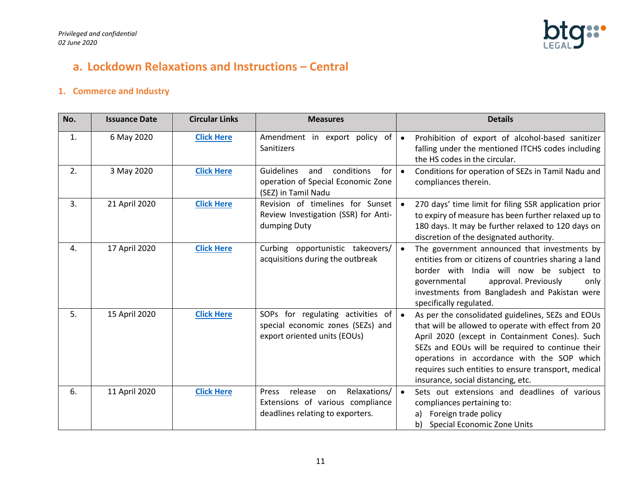

# <span id="page-10-0"></span>**a. Lockdown Relaxations and Instructions – Central**

# <span id="page-10-1"></span>**1. Commerce and Industry**

| No. | <b>Issuance Date</b> | <b>Circular Links</b> | <b>Measures</b>                                                                                                | <b>Details</b>                                                                                                                                                                                                                                                                                                                                             |
|-----|----------------------|-----------------------|----------------------------------------------------------------------------------------------------------------|------------------------------------------------------------------------------------------------------------------------------------------------------------------------------------------------------------------------------------------------------------------------------------------------------------------------------------------------------------|
| 1.  | 6 May 2020           | <b>Click Here</b>     | Amendment in export policy of<br>Sanitizers                                                                    | Prohibition of export of alcohol-based sanitizer<br>$\bullet$<br>falling under the mentioned ITCHS codes including<br>the HS codes in the circular.                                                                                                                                                                                                        |
| 2.  | 3 May 2020           | <b>Click Here</b>     | conditions<br><b>Guidelines</b><br>and<br>for<br>operation of Special Economic Zone<br>(SEZ) in Tamil Nadu     | Conditions for operation of SEZs in Tamil Nadu and<br>$\bullet$<br>compliances therein.                                                                                                                                                                                                                                                                    |
| 3.  | 21 April 2020        | <b>Click Here</b>     | Revision of timelines for Sunset<br>Review Investigation (SSR) for Anti-<br>dumping Duty                       | 270 days' time limit for filing SSR application prior<br>to expiry of measure has been further relaxed up to<br>180 days. It may be further relaxed to 120 days on<br>discretion of the designated authority.                                                                                                                                              |
| 4.  | 17 April 2020        | <b>Click Here</b>     | Curbing opportunistic takeovers/<br>acquisitions during the outbreak                                           | The government announced that investments by<br>$\bullet$<br>entities from or citizens of countries sharing a land<br>border with India will now be subject to<br>approval. Previously<br>only<br>governmental<br>investments from Bangladesh and Pakistan were<br>specifically regulated.                                                                 |
| 5.  | 15 April 2020        | <b>Click Here</b>     | SOPs for regulating activities of<br>special economic zones (SEZs) and<br>export oriented units (EOUs)         | As per the consolidated guidelines, SEZs and EOUs<br>that will be allowed to operate with effect from 20<br>April 2020 (except in Containment Cones). Such<br>SEZs and EOUs will be required to continue their<br>operations in accordance with the SOP which<br>requires such entities to ensure transport, medical<br>insurance, social distancing, etc. |
| 6.  | 11 April 2020        | <b>Click Here</b>     | Relaxations/<br>release<br>Press<br>on<br>Extensions of various compliance<br>deadlines relating to exporters. | Sets out extensions and deadlines of various<br>$\bullet$<br>compliances pertaining to:<br>Foreign trade policy<br>a)<br>Special Economic Zone Units<br>b)                                                                                                                                                                                                 |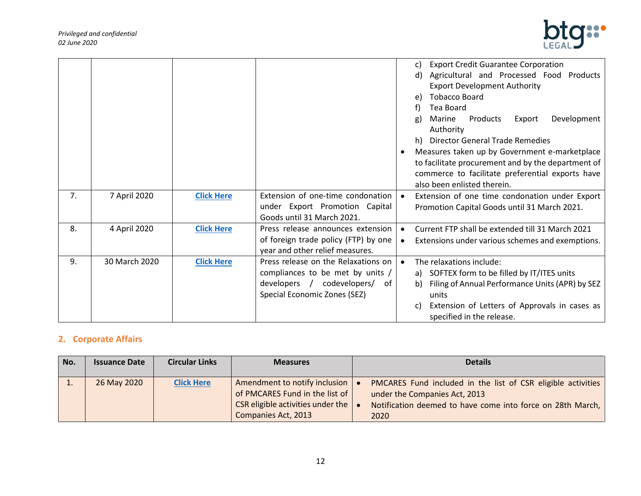

|    |               |                   |                                                                         | <b>Export Credit Guarantee Corporation</b><br>C)               |
|----|---------------|-------------------|-------------------------------------------------------------------------|----------------------------------------------------------------|
|    |               |                   |                                                                         | Agricultural and Processed Food Products<br>d)                 |
|    |               |                   |                                                                         | <b>Export Development Authority</b>                            |
|    |               |                   |                                                                         | <b>Tobacco Board</b><br>e)                                     |
|    |               |                   |                                                                         | Tea Board                                                      |
|    |               |                   |                                                                         | Development<br>Products<br>Marine<br>Export<br>g)<br>Authority |
|    |               |                   |                                                                         | <b>Director General Trade Remedies</b><br>h)                   |
|    |               |                   |                                                                         | Measures taken up by Government e-marketplace                  |
|    |               |                   |                                                                         | to facilitate procurement and by the department of             |
|    |               |                   |                                                                         | commerce to facilitate preferential exports have               |
|    |               |                   |                                                                         | also been enlisted therein.                                    |
| 7. | 7 April 2020  | <b>Click Here</b> | Extension of one-time condonation                                       | Extension of one time condonation under Export                 |
|    |               |                   | under Export Promotion Capital                                          | Promotion Capital Goods until 31 March 2021.                   |
|    |               |                   | Goods until 31 March 2021.                                              |                                                                |
| 8. | 4 April 2020  | <b>Click Here</b> | Press release announces extension                                       | Current FTP shall be extended till 31 March 2021<br>$\bullet$  |
|    |               |                   | of foreign trade policy (FTP) by one<br>year and other relief measures. | Extensions under various schemes and exemptions.               |
| 9. | 30 March 2020 | <b>Click Here</b> | Press release on the Relaxations on                                     | The relaxations include:<br>$\bullet$                          |
|    |               |                   | compliances to be met by units /                                        | a) SOFTEX form to be filled by IT/ITES units                   |
|    |               |                   | developers / codevelopers/<br>of                                        | Filing of Annual Performance Units (APR) by SEZ<br>b)          |
|    |               |                   | Special Economic Zones (SEZ)                                            | units                                                          |
|    |               |                   |                                                                         | Extension of Letters of Approvals in cases as<br>C)            |
|    |               |                   |                                                                         | specified in the release.                                      |

# <span id="page-11-0"></span>**2. Corporate Affairs**

| No. | <b>Issuance Date</b> | <b>Circular Links</b> | <b>Measures</b>                                                                                                             | <b>Details</b>                                                                                                                                                      |
|-----|----------------------|-----------------------|-----------------------------------------------------------------------------------------------------------------------------|---------------------------------------------------------------------------------------------------------------------------------------------------------------------|
|     | 26 May 2020          | <b>Click Here</b>     | Amendment to notify inclusion<br>of PMCARES Fund in the list of<br>CSR eligible activities under the<br>Companies Act, 2013 | PMCARES Fund included in the list of CSR eligible activities<br>under the Companies Act, 2013<br>Notification deemed to have come into force on 28th March,<br>2020 |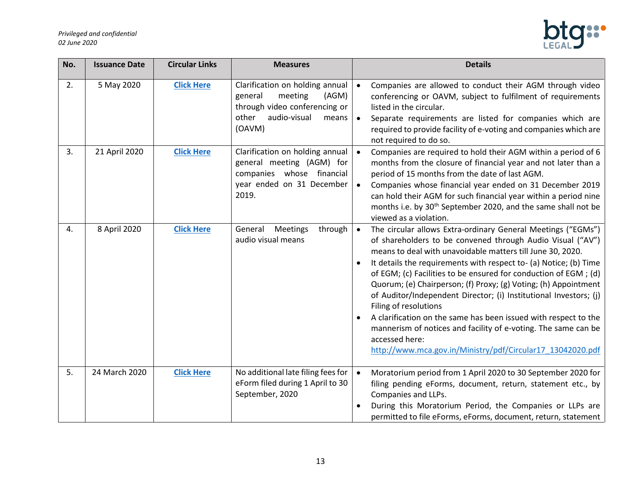

| No. | <b>Issuance Date</b> | <b>Circular Links</b> | <b>Measures</b>                                                                                                                             | <b>Details</b>                                                                                                                                                                                                                                                                                                                                                                                                                                                                                                                                                                                                                                                                                                                      |
|-----|----------------------|-----------------------|---------------------------------------------------------------------------------------------------------------------------------------------|-------------------------------------------------------------------------------------------------------------------------------------------------------------------------------------------------------------------------------------------------------------------------------------------------------------------------------------------------------------------------------------------------------------------------------------------------------------------------------------------------------------------------------------------------------------------------------------------------------------------------------------------------------------------------------------------------------------------------------------|
| 2.  | 5 May 2020           | <b>Click Here</b>     | Clarification on holding annual<br>general<br>meeting<br>(AGM)<br>through video conferencing or<br>audio-visual<br>other<br>means<br>(OAVM) | Companies are allowed to conduct their AGM through video<br>$\bullet$<br>conferencing or OAVM, subject to fulfilment of requirements<br>listed in the circular.<br>Separate requirements are listed for companies which are<br>$\bullet$<br>required to provide facility of e-voting and companies which are<br>not required to do so.                                                                                                                                                                                                                                                                                                                                                                                              |
| 3.  | 21 April 2020        | <b>Click Here</b>     | Clarification on holding annual<br>general meeting (AGM) for<br>companies whose financial<br>year ended on 31 December<br>2019.             | Companies are required to hold their AGM within a period of 6<br>months from the closure of financial year and not later than a<br>period of 15 months from the date of last AGM.<br>Companies whose financial year ended on 31 December 2019<br>can hold their AGM for such financial year within a period nine<br>months i.e. by 30 <sup>th</sup> September 2020, and the same shall not be<br>viewed as a violation.                                                                                                                                                                                                                                                                                                             |
| 4.  | 8 April 2020         | <b>Click Here</b>     | Meetings<br>through<br>General<br>audio visual means                                                                                        | The circular allows Extra-ordinary General Meetings ("EGMs")<br>$\bullet$<br>of shareholders to be convened through Audio Visual ("AV")<br>means to deal with unavoidable matters till June 30, 2020.<br>It details the requirements with respect to- (a) Notice; (b) Time<br>of EGM; (c) Facilities to be ensured for conduction of EGM; (d)<br>Quorum; (e) Chairperson; (f) Proxy; (g) Voting; (h) Appointment<br>of Auditor/Independent Director; (i) Institutional Investors; (j)<br>Filing of resolutions<br>A clarification on the same has been issued with respect to the<br>mannerism of notices and facility of e-voting. The same can be<br>accessed here:<br>http://www.mca.gov.in/Ministry/pdf/Circular17_13042020.pdf |
| 5.  | 24 March 2020        | <b>Click Here</b>     | No additional late filing fees for<br>eForm filed during 1 April to 30<br>September, 2020                                                   | Moratorium period from 1 April 2020 to 30 September 2020 for<br>$\bullet$<br>filing pending eForms, document, return, statement etc., by<br>Companies and LLPs.<br>During this Moratorium Period, the Companies or LLPs are<br>permitted to file eForms, eForms, document, return, statement                                                                                                                                                                                                                                                                                                                                                                                                                                        |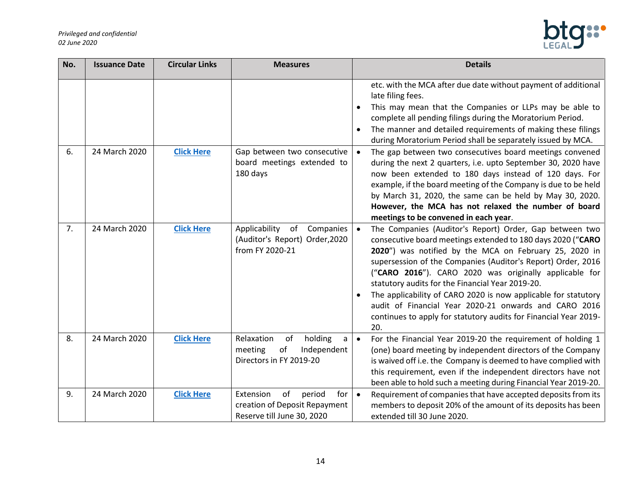

| No. | <b>Issuance Date</b> | <b>Circular Links</b> | <b>Measures</b>                                                                                 | <b>Details</b>                                                                                                                                                                                                                                                                                                                                                                                                                                                                                                                                                       |
|-----|----------------------|-----------------------|-------------------------------------------------------------------------------------------------|----------------------------------------------------------------------------------------------------------------------------------------------------------------------------------------------------------------------------------------------------------------------------------------------------------------------------------------------------------------------------------------------------------------------------------------------------------------------------------------------------------------------------------------------------------------------|
|     |                      |                       |                                                                                                 | etc. with the MCA after due date without payment of additional<br>late filing fees.<br>This may mean that the Companies or LLPs may be able to<br>complete all pending filings during the Moratorium Period.<br>The manner and detailed requirements of making these filings<br>during Moratorium Period shall be separately issued by MCA.                                                                                                                                                                                                                          |
| 6.  | 24 March 2020        | <b>Click Here</b>     | Gap between two consecutive<br>board meetings extended to<br>180 days                           | The gap between two consecutives board meetings convened<br>during the next 2 quarters, i.e. upto September 30, 2020 have<br>now been extended to 180 days instead of 120 days. For<br>example, if the board meeting of the Company is due to be held<br>by March 31, 2020, the same can be held by May 30, 2020.<br>However, the MCA has not relaxed the number of board<br>meetings to be convened in each year.                                                                                                                                                   |
| 7.  | 24 March 2020        | <b>Click Here</b>     | Applicability<br>of Companies<br>(Auditor's Report) Order, 2020<br>from FY 2020-21              | The Companies (Auditor's Report) Order, Gap between two<br>consecutive board meetings extended to 180 days 2020 ("CARO<br>2020") was notified by the MCA on February 25, 2020 in<br>supersession of the Companies (Auditor's Report) Order, 2016<br>("CARO 2016"). CARO 2020 was originally applicable for<br>statutory audits for the Financial Year 2019-20.<br>The applicability of CARO 2020 is now applicable for statutory<br>audit of Financial Year 2020-21 onwards and CARO 2016<br>continues to apply for statutory audits for Financial Year 2019-<br>20. |
| 8.  | 24 March 2020        | <b>Click Here</b>     | Relaxation<br>holding<br>of<br>a<br>meeting<br>of<br>Independent<br>Directors in FY 2019-20     | For the Financial Year 2019-20 the requirement of holding 1<br>(one) board meeting by independent directors of the Company<br>is waived off i.e. the Company is deemed to have complied with<br>this requirement, even if the independent directors have not<br>been able to hold such a meeting during Financial Year 2019-20.                                                                                                                                                                                                                                      |
| 9.  | 24 March 2020        | <b>Click Here</b>     | Extension<br>of<br>period<br>for<br>creation of Deposit Repayment<br>Reserve till June 30, 2020 | Requirement of companies that have accepted deposits from its<br>$\bullet$<br>members to deposit 20% of the amount of its deposits has been<br>extended till 30 June 2020.                                                                                                                                                                                                                                                                                                                                                                                           |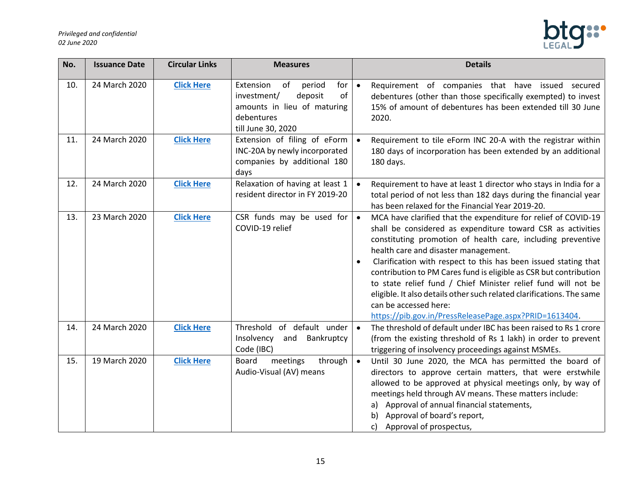

| No. | <b>Issuance Date</b> | <b>Circular Links</b> | <b>Measures</b>                                                                                                                     | <b>Details</b>                                                                                                                                                                                                                                                                                                                                                                                                                                                                                                                                                                                                         |
|-----|----------------------|-----------------------|-------------------------------------------------------------------------------------------------------------------------------------|------------------------------------------------------------------------------------------------------------------------------------------------------------------------------------------------------------------------------------------------------------------------------------------------------------------------------------------------------------------------------------------------------------------------------------------------------------------------------------------------------------------------------------------------------------------------------------------------------------------------|
| 10. | 24 March 2020        | <b>Click Here</b>     | Extension<br>of<br>period<br>for<br>investment/<br>deposit<br>of<br>amounts in lieu of maturing<br>debentures<br>till June 30, 2020 | Requirement of companies that have issued secured<br>$\bullet$<br>debentures (other than those specifically exempted) to invest<br>15% of amount of debentures has been extended till 30 June<br>2020.                                                                                                                                                                                                                                                                                                                                                                                                                 |
| 11. | 24 March 2020        | <b>Click Here</b>     | Extension of filing of eForm<br>INC-20A by newly incorporated<br>companies by additional 180<br>days                                | Requirement to tile eForm INC 20-A with the registrar within<br>$\bullet$<br>180 days of incorporation has been extended by an additional<br>180 days.                                                                                                                                                                                                                                                                                                                                                                                                                                                                 |
| 12. | 24 March 2020        | <b>Click Here</b>     | Relaxation of having at least 1<br>resident director in FY 2019-20                                                                  | Requirement to have at least 1 director who stays in India for a<br>$\bullet$<br>total period of not less than 182 days during the financial year<br>has been relaxed for the Financial Year 2019-20.                                                                                                                                                                                                                                                                                                                                                                                                                  |
| 13. | 23 March 2020        | <b>Click Here</b>     | CSR funds may be used for<br>COVID-19 relief                                                                                        | MCA have clarified that the expenditure for relief of COVID-19<br>$\bullet$<br>shall be considered as expenditure toward CSR as activities<br>constituting promotion of health care, including preventive<br>health care and disaster management.<br>Clarification with respect to this has been issued stating that<br>contribution to PM Cares fund is eligible as CSR but contribution<br>to state relief fund / Chief Minister relief fund will not be<br>eligible. It also details other such related clarifications. The same<br>can be accessed here:<br>https://pib.gov.in/PressReleasePage.aspx?PRID=1613404. |
| 14. | 24 March 2020        | <b>Click Here</b>     | Threshold<br>of default under<br>Insolvency<br>and Bankruptcy<br>Code (IBC)                                                         | The threshold of default under IBC has been raised to Rs 1 crore<br>$\bullet$<br>(from the existing threshold of Rs 1 lakh) in order to prevent<br>triggering of insolvency proceedings against MSMEs.                                                                                                                                                                                                                                                                                                                                                                                                                 |
| 15. | 19 March 2020        | <b>Click Here</b>     | <b>Board</b><br>meetings<br>through<br>Audio-Visual (AV) means                                                                      | $\bullet$<br>Until 30 June 2020, the MCA has permitted the board of<br>directors to approve certain matters, that were erstwhile<br>allowed to be approved at physical meetings only, by way of<br>meetings held through AV means. These matters include:<br>Approval of annual financial statements,<br>a)<br>Approval of board's report,<br>b)<br>Approval of prospectus,<br>c)                                                                                                                                                                                                                                      |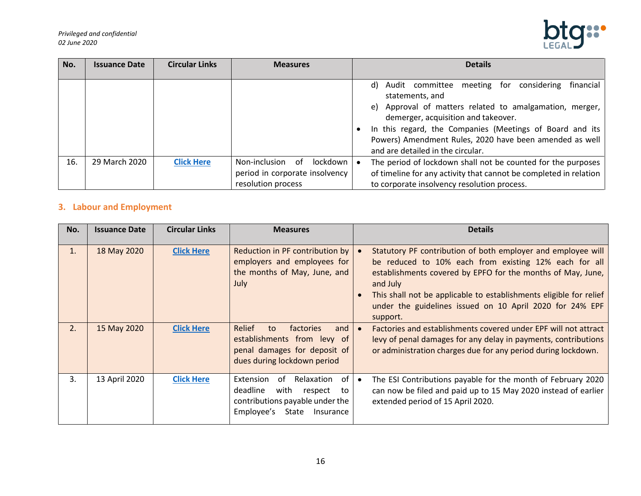

| No. | <b>Issuance Date</b> | <b>Circular Links</b> | <b>Measures</b>                                                                         | <b>Details</b>                                                                                                                                                                                                                                                                                                                           |
|-----|----------------------|-----------------------|-----------------------------------------------------------------------------------------|------------------------------------------------------------------------------------------------------------------------------------------------------------------------------------------------------------------------------------------------------------------------------------------------------------------------------------------|
|     |                      |                       |                                                                                         | d) Audit committee meeting for considering<br>financial<br>statements, and<br>e) Approval of matters related to amalgamation, merger,<br>demerger, acquisition and takeover.<br>In this regard, the Companies (Meetings of Board and its<br>Powers) Amendment Rules, 2020 have been amended as well<br>and are detailed in the circular. |
| 16. | 29 March 2020        | <b>Click Here</b>     | Non-inclusion<br>lockdown<br>of<br>period in corporate insolvency<br>resolution process | The period of lockdown shall not be counted for the purposes<br>of timeline for any activity that cannot be completed in relation<br>to corporate insolvency resolution process.                                                                                                                                                         |

# <span id="page-15-0"></span>**3. Labour and Employment**

| No. | <b>Issuance Date</b> | <b>Circular Links</b> | <b>Measures</b>                                                                                                                              | <b>Details</b>                                                                                                                                                                                                                                                                                                                                 |
|-----|----------------------|-----------------------|----------------------------------------------------------------------------------------------------------------------------------------------|------------------------------------------------------------------------------------------------------------------------------------------------------------------------------------------------------------------------------------------------------------------------------------------------------------------------------------------------|
| 1.  | 18 May 2020          | <b>Click Here</b>     | Reduction in PF contribution by<br>employers and employees for<br>the months of May, June, and<br>July                                       | Statutory PF contribution of both employer and employee will<br>be reduced to 10% each from existing 12% each for all<br>establishments covered by EPFO for the months of May, June,<br>and July<br>This shall not be applicable to establishments eligible for relief<br>under the guidelines issued on 10 April 2020 for 24% EPF<br>support. |
| 2.  | 15 May 2020          | <b>Click Here</b>     | Relief<br>and<br>factories<br>to<br>establishments from levy of<br>penal damages for deposit of<br>dues during lockdown period               | Factories and establishments covered under EPF will not attract<br>levy of penal damages for any delay in payments, contributions<br>or administration charges due for any period during lockdown.                                                                                                                                             |
| 3.  | 13 April 2020        | <b>Click Here</b>     | Relaxation of<br>Extension<br>of<br>deadline<br>with<br>respect<br>to<br>contributions payable under the<br>Employee's<br>State<br>Insurance | The ESI Contributions payable for the month of February 2020<br>can now be filed and paid up to 15 May 2020 instead of earlier<br>extended period of 15 April 2020.                                                                                                                                                                            |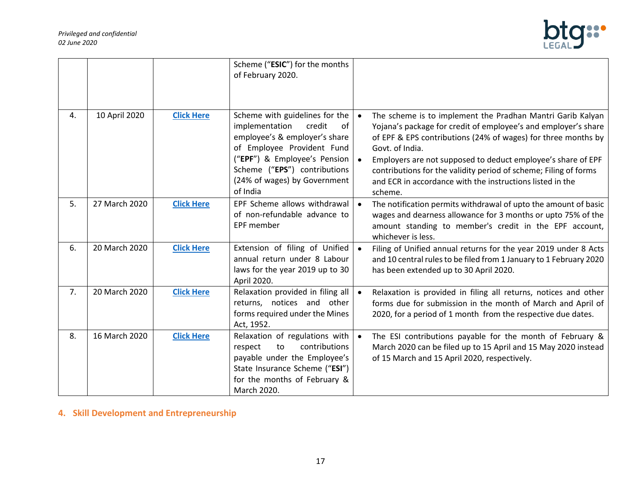

|    |               |                   | Scheme ("ESIC") for the months<br>of February 2020.                                                                                                                                                                                         |                                                                                                                                                                                                                                                                                                                                                                                                                              |
|----|---------------|-------------------|---------------------------------------------------------------------------------------------------------------------------------------------------------------------------------------------------------------------------------------------|------------------------------------------------------------------------------------------------------------------------------------------------------------------------------------------------------------------------------------------------------------------------------------------------------------------------------------------------------------------------------------------------------------------------------|
| 4. | 10 April 2020 | <b>Click Here</b> | Scheme with guidelines for the<br>implementation<br>credit<br>of<br>employee's & employer's share<br>of Employee Provident Fund<br>("EPF") & Employee's Pension<br>Scheme ("EPS") contributions<br>(24% of wages) by Government<br>of India | The scheme is to implement the Pradhan Mantri Garib Kalyan<br>Yojana's package for credit of employee's and employer's share<br>of EPF & EPS contributions (24% of wages) for three months by<br>Govt. of India.<br>Employers are not supposed to deduct employee's share of EPF<br>contributions for the validity period of scheme; Filing of forms<br>and ECR in accordance with the instructions listed in the<br>scheme. |
| 5. | 27 March 2020 | <b>Click Here</b> | EPF Scheme allows withdrawal<br>of non-refundable advance to<br><b>EPF member</b>                                                                                                                                                           | The notification permits withdrawal of upto the amount of basic<br>wages and dearness allowance for 3 months or upto 75% of the<br>amount standing to member's credit in the EPF account,<br>whichever is less.                                                                                                                                                                                                              |
| 6. | 20 March 2020 | <b>Click Here</b> | Extension of filing of Unified<br>annual return under 8 Labour<br>laws for the year 2019 up to 30<br>April 2020.                                                                                                                            | Filing of Unified annual returns for the year 2019 under 8 Acts<br>and 10 central rules to be filed from 1 January to 1 February 2020<br>has been extended up to 30 April 2020.                                                                                                                                                                                                                                              |
| 7. | 20 March 2020 | <b>Click Here</b> | Relaxation provided in filing all<br>returns, notices and other<br>forms required under the Mines<br>Act, 1952.                                                                                                                             | Relaxation is provided in filing all returns, notices and other<br>forms due for submission in the month of March and April of<br>2020, for a period of 1 month from the respective due dates.                                                                                                                                                                                                                               |
| 8. | 16 March 2020 | <b>Click Here</b> | Relaxation of regulations with<br>contributions<br>respect<br>to<br>payable under the Employee's<br>State Insurance Scheme ("ESI")<br>for the months of February &<br>March 2020.                                                           | The ESI contributions payable for the month of February &<br>March 2020 can be filed up to 15 April and 15 May 2020 instead<br>of 15 March and 15 April 2020, respectively.                                                                                                                                                                                                                                                  |

<span id="page-16-0"></span>**4. Skill Development and Entrepreneurship**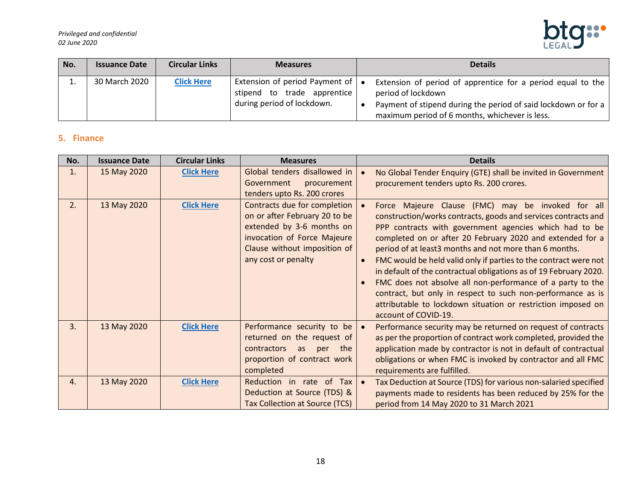

| No. | <b>Issuance Date</b> | <b>Circular Links</b> | <b>Measures</b>                                                                                                   | <b>Details</b>                                                                                                                                                                                        |
|-----|----------------------|-----------------------|-------------------------------------------------------------------------------------------------------------------|-------------------------------------------------------------------------------------------------------------------------------------------------------------------------------------------------------|
|     | 30 March 2020        | <b>Click Here</b>     | Extension of period Payment of $\vert \bullet \vert$<br>stipend to trade apprentice<br>during period of lockdown. | Extension of period of apprentice for a period equal to the<br>period of lockdown<br>Payment of stipend during the period of said lockdown or for a<br>maximum period of 6 months, whichever is less. |

# <span id="page-17-0"></span>**5. Finance**

| No. | <b>Issuance Date</b> | <b>Circular Links</b> | <b>Measures</b>                                                                                                                                                                  |           | <b>Details</b>                                                                                                                                                                                                                                                                                                                                                                                                                                                                                                                                                                                                                                                     |
|-----|----------------------|-----------------------|----------------------------------------------------------------------------------------------------------------------------------------------------------------------------------|-----------|--------------------------------------------------------------------------------------------------------------------------------------------------------------------------------------------------------------------------------------------------------------------------------------------------------------------------------------------------------------------------------------------------------------------------------------------------------------------------------------------------------------------------------------------------------------------------------------------------------------------------------------------------------------------|
| 1.  | 15 May 2020          | <b>Click Here</b>     | Global tenders disallowed in<br>Government<br>procurement<br>tenders upto Rs. 200 crores                                                                                         |           | No Global Tender Enquiry (GTE) shall be invited in Government<br>procurement tenders upto Rs. 200 crores.                                                                                                                                                                                                                                                                                                                                                                                                                                                                                                                                                          |
| 2.  | 13 May 2020          | <b>Click Here</b>     | Contracts due for completion<br>on or after February 20 to be<br>extended by 3-6 months on<br>invocation of Force Majeure<br>Clause without imposition of<br>any cost or penalty |           | Force Majeure Clause (FMC) may be invoked for all<br>construction/works contracts, goods and services contracts and<br>PPP contracts with government agencies which had to be<br>completed on or after 20 February 2020 and extended for a<br>period of at least3 months and not more than 6 months.<br>FMC would be held valid only if parties to the contract were not<br>in default of the contractual obligations as of 19 February 2020.<br>FMC does not absolve all non-performance of a party to the<br>contract, but only in respect to such non-performance as is<br>attributable to lockdown situation or restriction imposed on<br>account of COVID-19. |
| 3.  | 13 May 2020          | <b>Click Here</b>     | Performance security to be<br>returned on the request of<br>the<br><b>contractors</b><br>as<br>per<br>proportion of contract work<br>completed                                   | $\bullet$ | Performance security may be returned on request of contracts<br>as per the proportion of contract work completed, provided the<br>application made by contractor is not in default of contractual<br>obligations or when FMC is invoked by contractor and all FMC<br>requirements are fulfilled.                                                                                                                                                                                                                                                                                                                                                                   |
| 4.  | 13 May 2020          | <b>Click Here</b>     | Reduction in rate of Tax<br>Deduction at Source (TDS) &<br><b>Tax Collection at Source (TCS)</b>                                                                                 | $\bullet$ | Tax Deduction at Source (TDS) for various non-salaried specified<br>payments made to residents has been reduced by 25% for the<br>period from 14 May 2020 to 31 March 2021                                                                                                                                                                                                                                                                                                                                                                                                                                                                                         |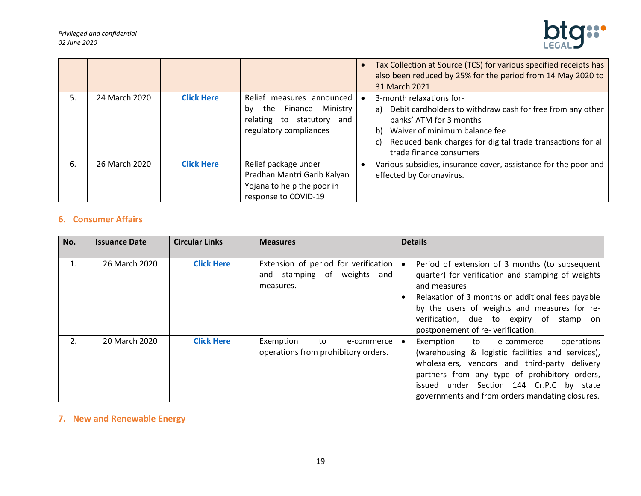

|    |               |                   |                                                                                                                      | Tax Collection at Source (TCS) for various specified receipts has<br>also been reduced by 25% for the period from 14 May 2020 to<br>31 March 2021                                                                                                        |
|----|---------------|-------------------|----------------------------------------------------------------------------------------------------------------------|----------------------------------------------------------------------------------------------------------------------------------------------------------------------------------------------------------------------------------------------------------|
| 5. | 24 March 2020 | <b>Click Here</b> | Relief measures announced<br>Finance Ministry<br>the<br>bv<br>relating to statutory<br>and<br>regulatory compliances | 3-month relaxations for-<br>a) Debit cardholders to withdraw cash for free from any other<br>banks' ATM for 3 months<br>b) Waiver of minimum balance fee<br>Reduced bank charges for digital trade transactions for all<br>c)<br>trade finance consumers |
| 6. | 26 March 2020 | <b>Click Here</b> | Relief package under<br>Pradhan Mantri Garib Kalyan<br>Yojana to help the poor in<br>response to COVID-19            | Various subsidies, insurance cover, assistance for the poor and<br>effected by Coronavirus.                                                                                                                                                              |

# <span id="page-18-0"></span>**6. Consumer Affairs**

| No. | <b>Issuance Date</b> | <b>Circular Links</b> | <b>Measures</b>                                                                        | <b>Details</b>                                                                                                                                                                                                                                                                                          |
|-----|----------------------|-----------------------|----------------------------------------------------------------------------------------|---------------------------------------------------------------------------------------------------------------------------------------------------------------------------------------------------------------------------------------------------------------------------------------------------------|
|     | 26 March 2020        | <b>Click Here</b>     | Extension of period for verification<br>stamping of weights<br>and<br>and<br>measures. | Period of extension of 3 months (to subsequent<br>quarter) for verification and stamping of weights<br>and measures<br>Relaxation of 3 months on additional fees payable<br>by the users of weights and measures for re-<br>verification, due to expiry of stamp on<br>postponement of re-verification. |
| 2.  | 20 March 2020        | <b>Click Here</b>     | Exemption<br>to<br>e-commerce<br>operations from prohibitory orders.                   | operations<br>Exemption<br>to<br>e-commerce<br>(warehousing & logistic facilities and services),<br>wholesalers, vendors and third-party delivery<br>partners from any type of prohibitory orders,<br>issued under Section 144 Cr.P.C by state<br>governments and from orders mandating closures.       |

# <span id="page-18-1"></span>**7. New and Renewable Energy**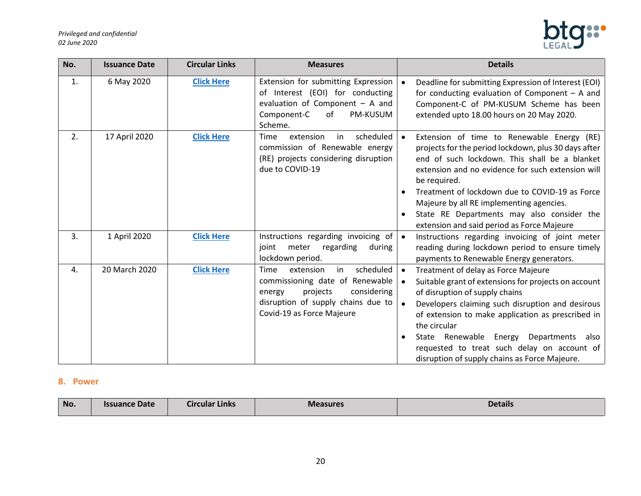

| No. | <b>Issuance Date</b> | <b>Circular Links</b> | <b>Measures</b>                                                                                                                                                                 | <b>Details</b>                                                                                                                                                                                                                                                                                                                                                                                                                    |
|-----|----------------------|-----------------------|---------------------------------------------------------------------------------------------------------------------------------------------------------------------------------|-----------------------------------------------------------------------------------------------------------------------------------------------------------------------------------------------------------------------------------------------------------------------------------------------------------------------------------------------------------------------------------------------------------------------------------|
| 1.  | 6 May 2020           | <b>Click Here</b>     | Extension for submitting Expression<br>of Interest (EOI) for conducting<br>evaluation of Component $-$ A and<br>Component-C<br>of<br>PM-KUSUM<br>Scheme.                        | Deadline for submitting Expression of Interest (EOI)<br>for conducting evaluation of Component $-$ A and<br>Component-C of PM-KUSUM Scheme has been<br>extended upto 18.00 hours on 20 May 2020.                                                                                                                                                                                                                                  |
| 2.  | 17 April 2020        | <b>Click Here</b>     | scheduled<br>extension<br>in<br>Time<br>commission of Renewable energy<br>(RE) projects considering disruption<br>due to COVID-19                                               | Extension of time to Renewable Energy (RE)<br>projects for the period lockdown, plus 30 days after<br>end of such lockdown. This shall be a blanket<br>extension and no evidence for such extension will<br>be required.<br>Treatment of lockdown due to COVID-19 as Force<br>Majeure by all RE implementing agencies.<br>State RE Departments may also consider the<br>extension and said period as Force Majeure                |
| 3.  | 1 April 2020         | <b>Click Here</b>     | Instructions regarding invoicing of<br>meter<br>regarding<br>joint<br>during<br>lockdown period.                                                                                | Instructions regarding invoicing of joint meter<br>$\bullet$<br>reading during lockdown period to ensure timely<br>payments to Renewable Energy generators.                                                                                                                                                                                                                                                                       |
| 4.  | 20 March 2020        | <b>Click Here</b>     | scheduled<br>Time<br>extension<br>in<br>commissioning date of Renewable<br>projects<br>considering<br>energy<br>disruption of supply chains due to<br>Covid-19 as Force Majeure | Treatment of delay as Force Majeure<br>$\bullet$<br>Suitable grant of extensions for projects on account<br>$\bullet$<br>of disruption of supply chains<br>Developers claiming such disruption and desirous<br>of extension to make application as prescribed in<br>the circular<br>State Renewable<br>Energy Departments<br>also<br>requested to treat such delay on account of<br>disruption of supply chains as Force Majeure. |

#### <span id="page-19-0"></span>**8. Power**

| <b>No</b> | <b>Issuance Date</b> | <b>The Story</b><br>$\bullet$ $\bullet$<br>Circular Links | <b>Measures</b> | Details |
|-----------|----------------------|-----------------------------------------------------------|-----------------|---------|
|           |                      |                                                           |                 |         |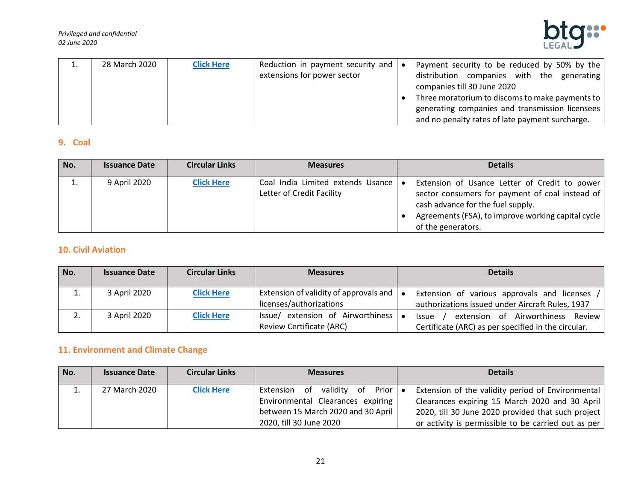*Privileged and confidential 02 June 2020*



| ⊥. | 28 March 2020 | <b>Click Here</b> | Reduction in payment security and $\bullet$ | Payment security to be reduced by 50% by the    |
|----|---------------|-------------------|---------------------------------------------|-------------------------------------------------|
|    |               |                   | extensions for power sector                 | distribution companies with the generating      |
|    |               |                   |                                             | companies till 30 June 2020                     |
|    |               |                   |                                             | Three moratorium to discoms to make payments to |
|    |               |                   |                                             | generating companies and transmission licensees |
|    |               |                   |                                             | and no penalty rates of late payment surcharge. |

## <span id="page-20-0"></span>**9. Coal**

| No.      | <b>Issuance Date</b> | <b>Circular Links</b> | <b>Measures</b>                                                | <b>Details</b>                                                                                                                                                                                                    |
|----------|----------------------|-----------------------|----------------------------------------------------------------|-------------------------------------------------------------------------------------------------------------------------------------------------------------------------------------------------------------------|
| <b>.</b> | 9 April 2020         | <b>Click Here</b>     | Coal India Limited extends Usance<br>Letter of Credit Facility | Extension of Usance Letter of Credit to power<br>sector consumers for payment of coal instead of<br>cash advance for the fuel supply.<br>Agreements (FSA), to improve working capital cycle<br>of the generators. |

# <span id="page-20-1"></span>**10. Civil Aviation**

| No. | <b>Issuance Date</b> | <b>Circular Links</b> | <b>Measures</b>                                                      | <b>Details</b>                                                                                              |
|-----|----------------------|-----------------------|----------------------------------------------------------------------|-------------------------------------------------------------------------------------------------------------|
|     | 3 April 2020         | <b>Click Here</b>     | Extension of validity of approvals and<br>licenses/authorizations    | Extension of various approvals and licenses<br>authorizations issued under Aircraft Rules, 1937             |
|     | 3 April 2020         | <b>Click Here</b>     | Issue/ extension of Airworthiness<br><b>Review Certificate (ARC)</b> | extension of Airworthiness<br>Review<br><b>Issue</b><br>Certificate (ARC) as per specified in the circular. |

# <span id="page-20-2"></span>**11. Environment and Climate Change**

| No. | <b>Issuance Date</b> | <b>Circular Links</b> | <b>Measures</b>                                                                                                                                 | <b>Details</b>                                                                                                                                                                                                   |
|-----|----------------------|-----------------------|-------------------------------------------------------------------------------------------------------------------------------------------------|------------------------------------------------------------------------------------------------------------------------------------------------------------------------------------------------------------------|
|     | 27 March 2020        | <b>Click Here</b>     | validity<br>Prior<br>of .<br>Extension of<br>Environmental Clearances expiring<br>between 15 March 2020 and 30 April<br>2020, till 30 June 2020 | Extension of the validity period of Environmental<br>Clearances expiring 15 March 2020 and 30 April<br>2020, till 30 June 2020 provided that such project<br>or activity is permissible to be carried out as per |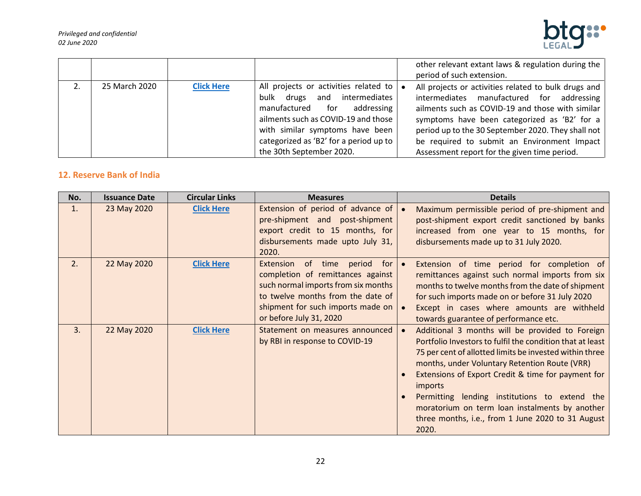

|               |                   |                                        | other relevant extant laws & regulation during the   |
|---------------|-------------------|----------------------------------------|------------------------------------------------------|
|               |                   |                                        | period of such extension.                            |
| 25 March 2020 | <b>Click Here</b> | All projects or activities related to  | All projects or activities related to bulk drugs and |
|               |                   | bulk drugs and intermediates           | intermediates manufactured for addressing            |
|               |                   | manufactured for addressing            | ailments such as COVID-19 and those with similar     |
|               |                   | ailments such as COVID-19 and those    | symptoms have been categorized as 'B2' for a         |
|               |                   | with similar symptoms have been        | period up to the 30 September 2020. They shall not   |
|               |                   | categorized as 'B2' for a period up to | be required to submit an Environment Impact          |
|               |                   | the 30th September 2020.               | Assessment report for the given time period.         |

# <span id="page-21-0"></span>**12. Reserve Bank of India**

| No. | <b>Issuance Date</b> | <b>Circular Links</b> | <b>Measures</b>                                                                                                                                                                                                    | <b>Details</b>                                                                                                                                                                                                                                                                                                                                                                                                                                             |
|-----|----------------------|-----------------------|--------------------------------------------------------------------------------------------------------------------------------------------------------------------------------------------------------------------|------------------------------------------------------------------------------------------------------------------------------------------------------------------------------------------------------------------------------------------------------------------------------------------------------------------------------------------------------------------------------------------------------------------------------------------------------------|
| 1.  | 23 May 2020          | <b>Click Here</b>     | Extension of period of advance of<br>pre-shipment and post-shipment<br>export credit to 15 months, for<br>disbursements made upto July 31,<br>2020.                                                                | Maximum permissible period of pre-shipment and<br>post-shipment export credit sanctioned by banks<br>increased from one year to 15 months, for<br>disbursements made up to 31 July 2020.                                                                                                                                                                                                                                                                   |
| 2.  | 22 May 2020          | <b>Click Here</b>     | Extension of time period<br>for  <br>completion of remittances against<br>such normal imports from six months<br>to twelve months from the date of<br>shipment for such imports made on<br>or before July 31, 2020 | Extension of time period for completion of<br>remittances against such normal imports from six<br>months to twelve months from the date of shipment<br>for such imports made on or before 31 July 2020<br>Except in cases where amounts are withheld<br>towards guarantee of performance etc.                                                                                                                                                              |
| 3.  | 22 May 2020          | <b>Click Here</b>     | Statement on measures announced<br>by RBI in response to COVID-19                                                                                                                                                  | Additional 3 months will be provided to Foreign<br>Portfolio Investors to fulfil the condition that at least<br>75 per cent of allotted limits be invested within three<br>months, under Voluntary Retention Route (VRR)<br>Extensions of Export Credit & time for payment for<br>imports<br>Permitting lending institutions to extend the<br>moratorium on term loan instalments by another<br>three months, i.e., from 1 June 2020 to 31 August<br>2020. |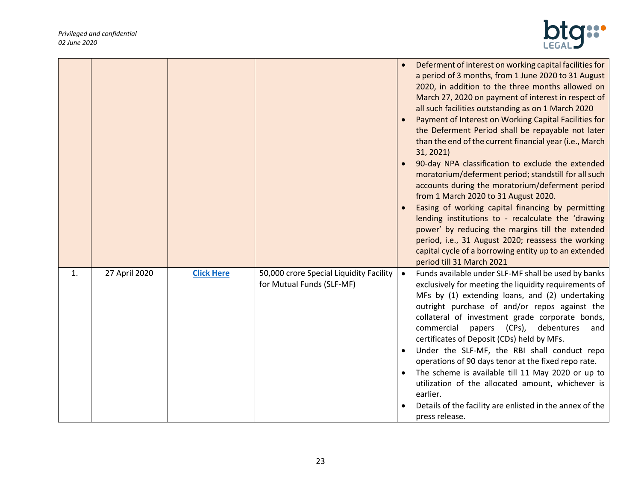

|    |               |                   |                                                                      | Deferment of interest on working capital facilities for<br>a period of 3 months, from 1 June 2020 to 31 August<br>2020, in addition to the three months allowed on<br>March 27, 2020 on payment of interest in respect of<br>all such facilities outstanding as on 1 March 2020<br>Payment of Interest on Working Capital Facilities for<br>the Deferment Period shall be repayable not later<br>than the end of the current financial year (i.e., March<br>31, 2021)<br>90-day NPA classification to exclude the extended<br>moratorium/deferment period; standstill for all such<br>accounts during the moratorium/deferment period<br>from 1 March 2020 to 31 August 2020.<br>Easing of working capital financing by permitting<br>lending institutions to - recalculate the 'drawing<br>power' by reducing the margins till the extended<br>period, i.e., 31 August 2020; reassess the working<br>capital cycle of a borrowing entity up to an extended<br>period till 31 March 2021 |
|----|---------------|-------------------|----------------------------------------------------------------------|------------------------------------------------------------------------------------------------------------------------------------------------------------------------------------------------------------------------------------------------------------------------------------------------------------------------------------------------------------------------------------------------------------------------------------------------------------------------------------------------------------------------------------------------------------------------------------------------------------------------------------------------------------------------------------------------------------------------------------------------------------------------------------------------------------------------------------------------------------------------------------------------------------------------------------------------------------------------------------------|
| 1. | 27 April 2020 | <b>Click Here</b> | 50,000 crore Special Liquidity Facility<br>for Mutual Funds (SLF-MF) | Funds available under SLF-MF shall be used by banks<br>exclusively for meeting the liquidity requirements of<br>MFs by (1) extending loans, and (2) undertaking<br>outright purchase of and/or repos against the<br>collateral of investment grade corporate bonds,<br>commercial<br>papers (CPs), debentures<br>and<br>certificates of Deposit (CDs) held by MFs.<br>Under the SLF-MF, the RBI shall conduct repo<br>operations of 90 days tenor at the fixed repo rate.<br>The scheme is available till 11 May 2020 or up to<br>utilization of the allocated amount, whichever is<br>earlier.<br>Details of the facility are enlisted in the annex of the<br>press release.                                                                                                                                                                                                                                                                                                            |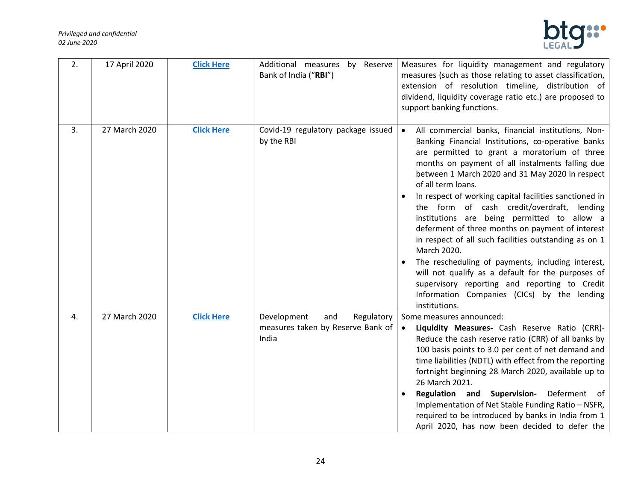

| 2. | 17 April 2020 | <b>Click Here</b> | Additional measures by Reserve<br>Bank of India ("RBI") | Measures for liquidity management and regulatory<br>measures (such as those relating to asset classification,<br>extension of resolution timeline, distribution of<br>dividend, liquidity coverage ratio etc.) are proposed to<br>support banking functions.                                                                                                                                                                                                                                                                                                                                                                                                                                                                                                                                                     |
|----|---------------|-------------------|---------------------------------------------------------|------------------------------------------------------------------------------------------------------------------------------------------------------------------------------------------------------------------------------------------------------------------------------------------------------------------------------------------------------------------------------------------------------------------------------------------------------------------------------------------------------------------------------------------------------------------------------------------------------------------------------------------------------------------------------------------------------------------------------------------------------------------------------------------------------------------|
| 3. | 27 March 2020 | <b>Click Here</b> | Covid-19 regulatory package issued<br>by the RBI        | All commercial banks, financial institutions, Non-<br>$\bullet$<br>Banking Financial Institutions, co-operative banks<br>are permitted to grant a moratorium of three<br>months on payment of all instalments falling due<br>between 1 March 2020 and 31 May 2020 in respect<br>of all term loans.<br>In respect of working capital facilities sanctioned in<br>the form of cash credit/overdraft, lending<br>institutions are being permitted to allow a<br>deferment of three months on payment of interest<br>in respect of all such facilities outstanding as on 1<br>March 2020.<br>The rescheduling of payments, including interest,<br>will not qualify as a default for the purposes of<br>supervisory reporting and reporting to Credit<br>Information Companies (CICs) by the lending<br>institutions. |
| 4. | 27 March 2020 | <b>Click Here</b> | Development<br>and<br>Regulatory                        | Some measures announced:                                                                                                                                                                                                                                                                                                                                                                                                                                                                                                                                                                                                                                                                                                                                                                                         |
|    |               |                   | measures taken by Reserve Bank of<br>India              | Liquidity Measures- Cash Reserve Ratio (CRR)-<br>Reduce the cash reserve ratio (CRR) of all banks by<br>100 basis points to 3.0 per cent of net demand and<br>time liabilities (NDTL) with effect from the reporting<br>fortnight beginning 28 March 2020, available up to<br>26 March 2021.<br>Regulation and Supervision-<br>Deferment of<br>Implementation of Net Stable Funding Ratio - NSFR,<br>required to be introduced by banks in India from 1<br>April 2020, has now been decided to defer the                                                                                                                                                                                                                                                                                                         |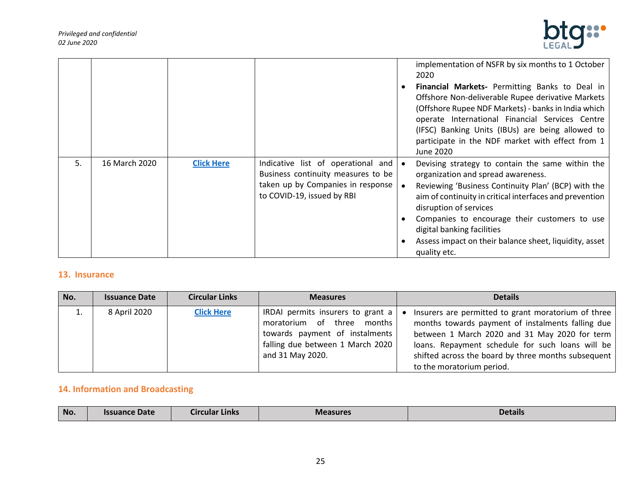

|    |               |                   |                                                                                                                                             | implementation of NSFR by six months to 1 October<br>2020<br><b>Financial Markets-</b> Permitting Banks to Deal in<br>Offshore Non-deliverable Rupee derivative Markets<br>(Offshore Rupee NDF Markets) - banks in India which<br>operate International Financial Services Centre<br>(IFSC) Banking Units (IBUs) are being allowed to<br>participate in the NDF market with effect from 1<br>June 2020 |
|----|---------------|-------------------|---------------------------------------------------------------------------------------------------------------------------------------------|--------------------------------------------------------------------------------------------------------------------------------------------------------------------------------------------------------------------------------------------------------------------------------------------------------------------------------------------------------------------------------------------------------|
| 5. | 16 March 2020 | <b>Click Here</b> | Indicative list of operational and<br>Business continuity measures to be<br>taken up by Companies in response<br>to COVID-19, issued by RBI | Devising strategy to contain the same within the<br>organization and spread awareness.<br>Reviewing 'Business Continuity Plan' (BCP) with the<br>aim of continuity in critical interfaces and prevention<br>disruption of services<br>Companies to encourage their customers to use<br>digital banking facilities<br>Assess impact on their balance sheet, liquidity, asset<br>quality etc.            |

### <span id="page-24-0"></span>**13. Insurance**

| No. | <b>Issuance Date</b> | <b>Circular Links</b> | <b>Measures</b>                                                                                                                                           | <b>Details</b>                                                                                                                                                                                                                                                                                    |
|-----|----------------------|-----------------------|-----------------------------------------------------------------------------------------------------------------------------------------------------------|---------------------------------------------------------------------------------------------------------------------------------------------------------------------------------------------------------------------------------------------------------------------------------------------------|
|     | 8 April 2020         | <b>Click Here</b>     | IRDAI permits insurers to grant a<br>moratorium of three months<br>towards payment of instalments<br>falling due between 1 March 2020<br>and 31 May 2020. | Insurers are permitted to grant moratorium of three<br>months towards payment of instalments falling due<br>between 1 March 2020 and 31 May 2020 for term<br>loans. Repayment schedule for such loans will be<br>shifted across the board by three months subsequent<br>to the moratorium period. |

# <span id="page-24-1"></span>**14. Information and Broadcasting**

| No. | Date<br>suance | <b>Arcular Links</b><br>Circulaı | <b>Measures</b> | <b>Details</b> |
|-----|----------------|----------------------------------|-----------------|----------------|
|     |                |                                  |                 |                |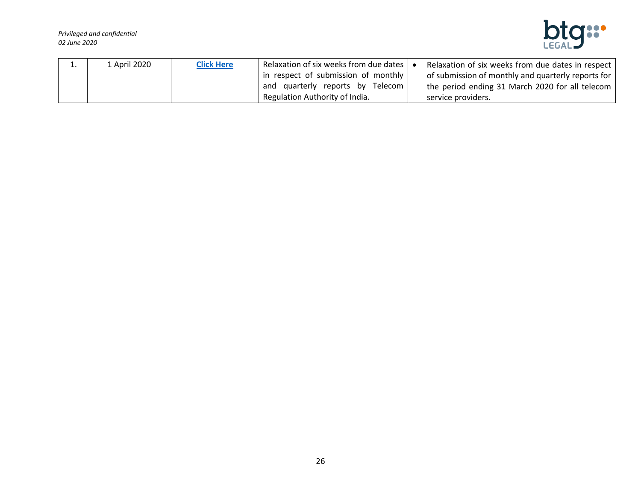

| ⊥. | 1 April 2020 | <b>Click Here</b> | Relaxation of six weeks from due dates $\vert \bullet$ | Relaxation of six weeks from due dates in respect  |
|----|--------------|-------------------|--------------------------------------------------------|----------------------------------------------------|
|    |              |                   | in respect of submission of monthly                    | of submission of monthly and quarterly reports for |
|    |              |                   | and quarterly reports by Telecom                       | the period ending 31 March 2020 for all telecom    |
|    |              |                   | Regulation Authority of India.                         | service providers.                                 |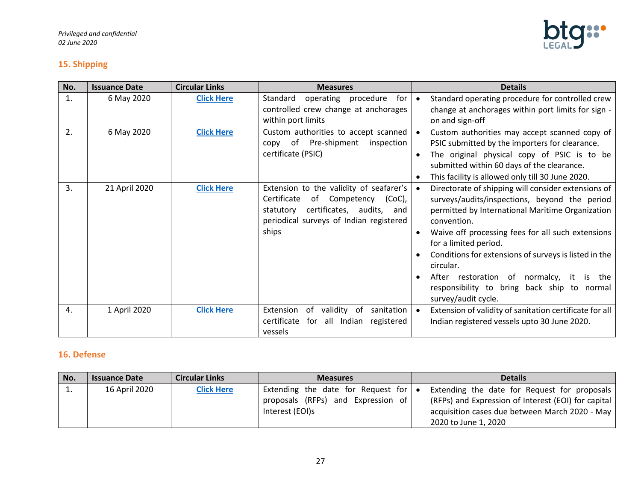

# <span id="page-26-0"></span>**15. Shipping**

| No. | <b>Issuance Date</b> | <b>Circular Links</b> | <b>Measures</b>                                                                                                                                                                       | <b>Details</b>                                                                                                                                                                                                                                                                                                                                                                                                                                             |
|-----|----------------------|-----------------------|---------------------------------------------------------------------------------------------------------------------------------------------------------------------------------------|------------------------------------------------------------------------------------------------------------------------------------------------------------------------------------------------------------------------------------------------------------------------------------------------------------------------------------------------------------------------------------------------------------------------------------------------------------|
| 1.  | 6 May 2020           | <b>Click Here</b>     | operating procedure<br>for<br>Standard<br>controlled crew change at anchorages<br>within port limits                                                                                  | Standard operating procedure for controlled crew<br>change at anchorages within port limits for sign -<br>on and sign-off                                                                                                                                                                                                                                                                                                                                  |
| 2.  | 6 May 2020           | <b>Click Here</b>     | Custom authorities to accept scanned<br>Pre-shipment<br>of<br>inspection<br>copy<br>certificate (PSIC)                                                                                | Custom authorities may accept scanned copy of<br>PSIC submitted by the importers for clearance.<br>The original physical copy of PSIC is to be<br>submitted within 60 days of the clearance.<br>This facility is allowed only till 30 June 2020.                                                                                                                                                                                                           |
| 3.  | 21 April 2020        | <b>Click Here</b>     | Extension to the validity of seafarer's<br>Certificate<br>of<br>Competency<br>(CoC),<br>certificates, audits,<br>statutory<br>and<br>periodical surveys of Indian registered<br>ships | Directorate of shipping will consider extensions of<br>$\bullet$<br>surveys/audits/inspections, beyond the period<br>permitted by International Maritime Organization<br>convention.<br>Waive off processing fees for all such extensions<br>for a limited period.<br>Conditions for extensions of surveys is listed in the<br>circular.<br>After restoration of normalcy, it is the<br>responsibility to bring back ship to normal<br>survey/audit cycle. |
| 4.  | 1 April 2020         | <b>Click Here</b>     | Extension<br>validity<br>sanitation<br>0f<br>of<br>certificate<br>all Indian registered<br>for<br>vessels                                                                             | Extension of validity of sanitation certificate for all<br>$\bullet$<br>Indian registered vessels upto 30 June 2020.                                                                                                                                                                                                                                                                                                                                       |

# **16. Defense**

| No. | <b>Issuance Date</b> | <b>Circular Links</b> | <b>Measures</b>                                                          | <b>Details</b>                                                                                      |
|-----|----------------------|-----------------------|--------------------------------------------------------------------------|-----------------------------------------------------------------------------------------------------|
| . . | 16 April 2020        | <b>Click Here</b>     | Extending the date for Request for<br>proposals (RFPs) and Expression of | Extending the date for Request for proposals<br>(RFPs) and Expression of Interest (EOI) for capital |
|     |                      |                       | Interest (EOI)s                                                          | acquisition cases due between March 2020 - May<br>2020 to June 1, 2020                              |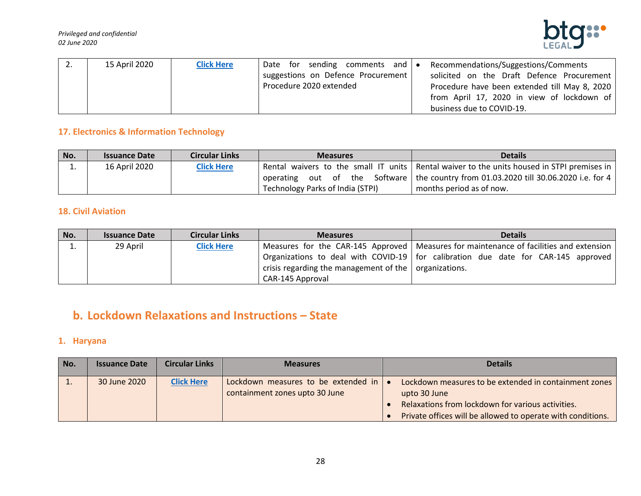

| z. | 15 April 2020 | <b>Click Here</b> | Date for sending comments and $\bullet$ | Recommendations/Suggestions/Comments          |
|----|---------------|-------------------|-----------------------------------------|-----------------------------------------------|
|    |               |                   | suggestions on Defence Procurement      | solicited on the Draft Defence Procurement    |
|    |               |                   | Procedure 2020 extended                 | Procedure have been extended till May 8, 2020 |
|    |               |                   |                                         | from April 17, 2020 in view of lockdown of    |
|    |               |                   |                                         | business due to COVID-19.                     |

# **17. Electronics & Information Technology**

| No. | <b>Issuance Date</b> | <b>Circular Links</b> | <b>Measures</b>                  | <b>Details</b>                                                                               |
|-----|----------------------|-----------------------|----------------------------------|----------------------------------------------------------------------------------------------|
| . . | 16 April 2020        | <b>Click Here</b>     |                                  | Rental waivers to the small IT units   Rental waiver to the units housed in STPI premises in |
|     |                      |                       |                                  | operating out of the Software   the country from 01.03.2020 till 30.06.2020 i.e. for 4       |
|     |                      |                       | Technology Parks of India (STPI) | months period as of now.                                                                     |

# **18. Civil Aviation**

| No. | <b>Issuance Date</b> | <b>Circular Links</b> | <b>Measures</b>                                               | <b>Details</b>                                                                           |
|-----|----------------------|-----------------------|---------------------------------------------------------------|------------------------------------------------------------------------------------------|
|     | 29 April             | <b>Click Here</b>     |                                                               | Measures for the CAR-145 Approved   Measures for maintenance of facilities and extension |
|     |                      |                       |                                                               | Organizations to deal with COVID-19   for calibration due date for CAR-145 approved      |
|     |                      |                       | crisis regarding the management of the $\vert$ organizations. |                                                                                          |
|     |                      |                       | CAR-145 Approval                                              |                                                                                          |

# <span id="page-27-0"></span>**b. Lockdown Relaxations and Instructions – State**

# <span id="page-27-1"></span>**1. Haryana**

| No. | <b>Issuance Date</b> | <b>Circular Links</b> | <b>Measures</b>                                                       | <b>Details</b>                                                                                                                                                                            |
|-----|----------------------|-----------------------|-----------------------------------------------------------------------|-------------------------------------------------------------------------------------------------------------------------------------------------------------------------------------------|
| ⊥.  | 30 June 2020         | <b>Click Here</b>     | Lockdown measures to be extended in<br>containment zones upto 30 June | Lockdown measures to be extended in containment zones<br>upto 30 June<br>Relaxations from lockdown for various activities.<br>Private offices will be allowed to operate with conditions. |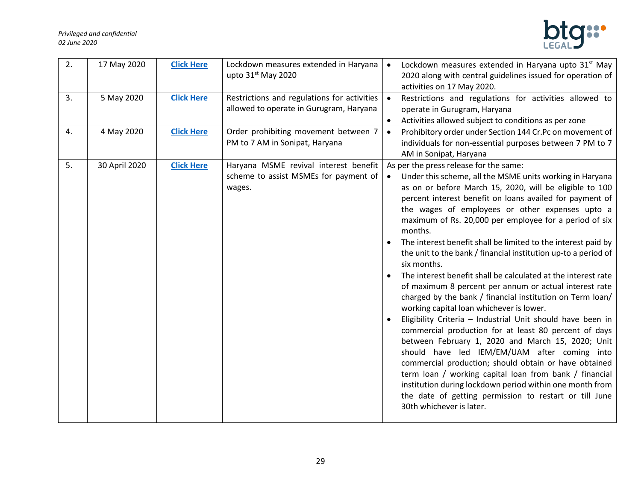#### *Privileged and confidential 02 June 2020*



| 2. | 17 May 2020   | <b>Click Here</b> | Lockdown measures extended in Haryana<br>upto 31 <sup>st</sup> May 2020                  | Lockdown measures extended in Haryana upto 31 <sup>st</sup> May<br>$\bullet$<br>2020 along with central guidelines issued for operation of<br>activities on 17 May 2020.                                                                                                                                                                                                                                                                                                                                                                                                                                                                                                                                                                                                                                                                                                                                                                                                                                                                                                                                                                                                                                                                              |
|----|---------------|-------------------|------------------------------------------------------------------------------------------|-------------------------------------------------------------------------------------------------------------------------------------------------------------------------------------------------------------------------------------------------------------------------------------------------------------------------------------------------------------------------------------------------------------------------------------------------------------------------------------------------------------------------------------------------------------------------------------------------------------------------------------------------------------------------------------------------------------------------------------------------------------------------------------------------------------------------------------------------------------------------------------------------------------------------------------------------------------------------------------------------------------------------------------------------------------------------------------------------------------------------------------------------------------------------------------------------------------------------------------------------------|
| 3. | 5 May 2020    | <b>Click Here</b> | Restrictions and regulations for activities<br>allowed to operate in Gurugram, Haryana   | Restrictions and regulations for activities allowed to<br>$\bullet$<br>operate in Gurugram, Haryana<br>Activities allowed subject to conditions as per zone<br>$\bullet$                                                                                                                                                                                                                                                                                                                                                                                                                                                                                                                                                                                                                                                                                                                                                                                                                                                                                                                                                                                                                                                                              |
| 4. | 4 May 2020    | <b>Click Here</b> | Order prohibiting movement between 7<br>PM to 7 AM in Sonipat, Haryana                   | Prohibitory order under Section 144 Cr.Pc on movement of<br>$\bullet$<br>individuals for non-essential purposes between 7 PM to 7<br>AM in Sonipat, Haryana                                                                                                                                                                                                                                                                                                                                                                                                                                                                                                                                                                                                                                                                                                                                                                                                                                                                                                                                                                                                                                                                                           |
| 5. | 30 April 2020 | <b>Click Here</b> | Haryana MSME revival interest benefit<br>scheme to assist MSMEs for payment of<br>wages. | As per the press release for the same:<br>Under this scheme, all the MSME units working in Haryana<br>$\bullet$<br>as on or before March 15, 2020, will be eligible to 100<br>percent interest benefit on loans availed for payment of<br>the wages of employees or other expenses upto a<br>maximum of Rs. 20,000 per employee for a period of six<br>months.<br>The interest benefit shall be limited to the interest paid by<br>the unit to the bank / financial institution up-to a period of<br>six months.<br>The interest benefit shall be calculated at the interest rate<br>of maximum 8 percent per annum or actual interest rate<br>charged by the bank / financial institution on Term loan/<br>working capital loan whichever is lower.<br>Eligibility Criteria - Industrial Unit should have been in<br>commercial production for at least 80 percent of days<br>between February 1, 2020 and March 15, 2020; Unit<br>should have led IEM/EM/UAM after coming into<br>commercial production; should obtain or have obtained<br>term loan / working capital loan from bank / financial<br>institution during lockdown period within one month from<br>the date of getting permission to restart or till June<br>30th whichever is later. |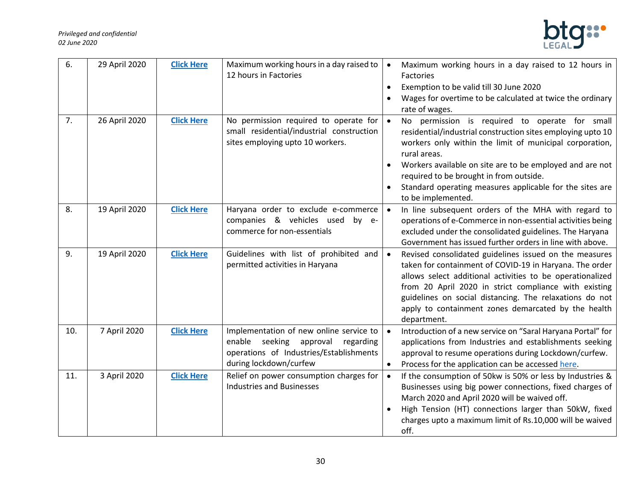

| 6.  | 29 April 2020 | <b>Click Here</b> | Maximum working hours in a day raised to<br>12 hours in Factories                                                                                          | Maximum working hours in a day raised to 12 hours in<br>$\bullet$<br>Factories<br>Exemption to be valid till 30 June 2020<br>$\bullet$<br>Wages for overtime to be calculated at twice the ordinary<br>rate of wages.                                                                                                                                                                                       |
|-----|---------------|-------------------|------------------------------------------------------------------------------------------------------------------------------------------------------------|-------------------------------------------------------------------------------------------------------------------------------------------------------------------------------------------------------------------------------------------------------------------------------------------------------------------------------------------------------------------------------------------------------------|
| 7.  | 26 April 2020 | <b>Click Here</b> | No permission required to operate for<br>small residential/industrial construction<br>sites employing upto 10 workers.                                     | No permission is required to operate for small<br>$\bullet$<br>residential/industrial construction sites employing upto 10<br>workers only within the limit of municipal corporation,<br>rural areas.<br>Workers available on site are to be employed and are not<br>$\bullet$<br>required to be brought in from outside.<br>Standard operating measures applicable for the sites are<br>to be implemented. |
| 8.  | 19 April 2020 | <b>Click Here</b> | Haryana order to exclude e-commerce<br>companies & vehicles used<br>by e-<br>commerce for non-essentials                                                   | In line subsequent orders of the MHA with regard to<br>$\bullet$<br>operations of e-Commerce in non-essential activities being<br>excluded under the consolidated guidelines. The Haryana<br>Government has issued further orders in line with above.                                                                                                                                                       |
| 9.  | 19 April 2020 | <b>Click Here</b> | Guidelines with list of prohibited and<br>permitted activities in Haryana                                                                                  | Revised consolidated guidelines issued on the measures<br>$\bullet$<br>taken for containment of COVID-19 in Haryana. The order<br>allows select additional activities to be operationalized<br>from 20 April 2020 in strict compliance with existing<br>guidelines on social distancing. The relaxations do not<br>apply to containment zones demarcated by the health<br>department.                       |
| 10. | 7 April 2020  | <b>Click Here</b> | Implementation of new online service to<br>enable<br>seeking<br>approval<br>regarding<br>operations of Industries/Establishments<br>during lockdown/curfew | Introduction of a new service on "Saral Haryana Portal" for<br>$\bullet$<br>applications from Industries and establishments seeking<br>approval to resume operations during Lockdown/curfew.<br>Process for the application can be accessed here.<br>$\bullet$                                                                                                                                              |
| 11. | 3 April 2020  | <b>Click Here</b> | Relief on power consumption charges for<br><b>Industries and Businesses</b>                                                                                | If the consumption of 50kw is 50% or less by Industries &<br>$\bullet$<br>Businesses using big power connections, fixed charges of<br>March 2020 and April 2020 will be waived off.<br>High Tension (HT) connections larger than 50kW, fixed<br>charges upto a maximum limit of Rs.10,000 will be waived<br>off.                                                                                            |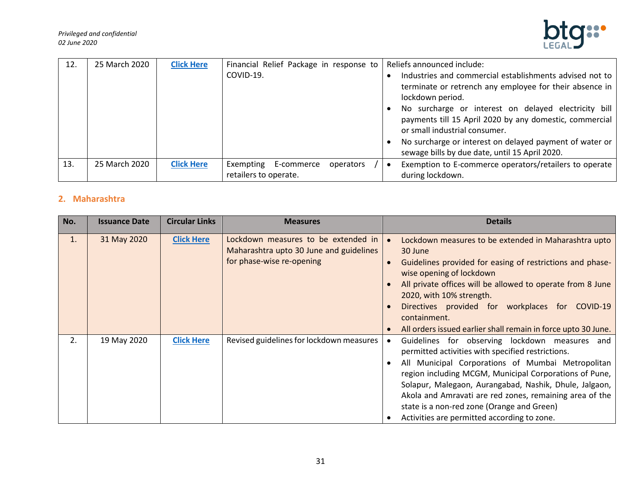

| 12. | 25 March 2020 | <b>Click Here</b> | Financial Relief Package in response to          |           | Reliefs announced include:                                                                                                                       |
|-----|---------------|-------------------|--------------------------------------------------|-----------|--------------------------------------------------------------------------------------------------------------------------------------------------|
|     |               |                   | COVID-19.                                        |           | Industries and commercial establishments advised not to<br>terminate or retrench any employee for their absence in<br>lockdown period.           |
|     |               |                   |                                                  |           | No surcharge or interest on delayed electricity bill<br>payments till 15 April 2020 by any domestic, commercial<br>or small industrial consumer. |
|     |               |                   |                                                  |           | No surcharge or interest on delayed payment of water or<br>sewage bills by due date, until 15 April 2020.                                        |
| 13. | 25 March 2020 | <b>Click Here</b> | Exempting<br>E-commerce<br>retailers to operate. | operators | Exemption to E-commerce operators/retailers to operate<br>during lockdown.                                                                       |

# <span id="page-30-0"></span>**2. Maharashtra**

| No. | <b>Issuance Date</b> | <b>Circular Links</b> | <b>Measures</b>                                                                                             | <b>Details</b>                                                                                                                                                                                                                                                                                                                                                                                                                       |
|-----|----------------------|-----------------------|-------------------------------------------------------------------------------------------------------------|--------------------------------------------------------------------------------------------------------------------------------------------------------------------------------------------------------------------------------------------------------------------------------------------------------------------------------------------------------------------------------------------------------------------------------------|
| 1.  | 31 May 2020          | <b>Click Here</b>     | Lockdown measures to be extended in<br>Maharashtra upto 30 June and guidelines<br>for phase-wise re-opening | Lockdown measures to be extended in Maharashtra upto<br>$\bullet$<br>30 June<br>Guidelines provided for easing of restrictions and phase-<br>$\bullet$<br>wise opening of lockdown<br>All private offices will be allowed to operate from 8 June<br>2020, with 10% strength.<br>Directives provided for workplaces<br>for COVID-19<br>containment.<br>All orders issued earlier shall remain in force upto 30 June.                  |
| 2.  | 19 May 2020          | <b>Click Here</b>     | Revised guidelines for lockdown measures                                                                    | Guidelines for observing lockdown measures and<br>permitted activities with specified restrictions.<br>All Municipal Corporations of Mumbai Metropolitan<br>region including MCGM, Municipal Corporations of Pune,<br>Solapur, Malegaon, Aurangabad, Nashik, Dhule, Jalgaon,<br>Akola and Amravati are red zones, remaining area of the<br>state is a non-red zone (Orange and Green)<br>Activities are permitted according to zone. |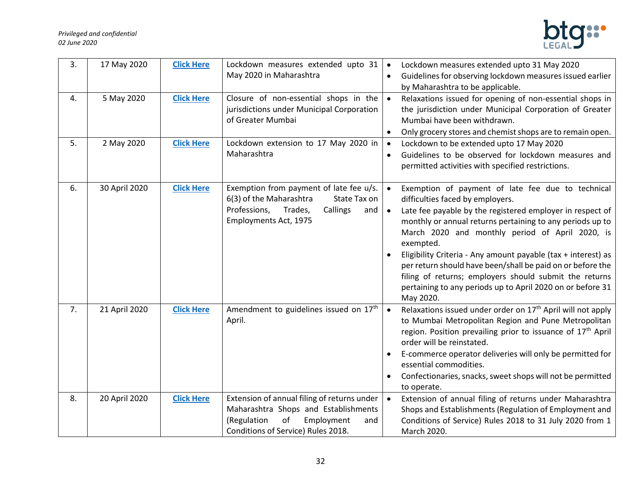#### *Privileged and confidential 02 June 2020*



| 3. | 17 May 2020   | <b>Click Here</b> | Lockdown measures extended upto 31<br>May 2020 in Maharashtra                                                                                                       | Lockdown measures extended upto 31 May 2020<br>$\bullet$<br>Guidelines for observing lockdown measures issued earlier<br>$\bullet$<br>by Maharashtra to be applicable.                                                                                                                                                                                                                                                                                                                                                                                                                     |
|----|---------------|-------------------|---------------------------------------------------------------------------------------------------------------------------------------------------------------------|--------------------------------------------------------------------------------------------------------------------------------------------------------------------------------------------------------------------------------------------------------------------------------------------------------------------------------------------------------------------------------------------------------------------------------------------------------------------------------------------------------------------------------------------------------------------------------------------|
| 4. | 5 May 2020    | <b>Click Here</b> | Closure of non-essential shops in the<br>jurisdictions under Municipal Corporation<br>of Greater Mumbai                                                             | Relaxations issued for opening of non-essential shops in<br>$\bullet$<br>the jurisdiction under Municipal Corporation of Greater<br>Mumbai have been withdrawn.<br>Only grocery stores and chemist shops are to remain open.<br>$\bullet$                                                                                                                                                                                                                                                                                                                                                  |
| 5. | 2 May 2020    | <b>Click Here</b> | Lockdown extension to 17 May 2020 in<br>Maharashtra                                                                                                                 | Lockdown to be extended upto 17 May 2020<br>$\bullet$<br>Guidelines to be observed for lockdown measures and<br>$\bullet$<br>permitted activities with specified restrictions.                                                                                                                                                                                                                                                                                                                                                                                                             |
| 6. | 30 April 2020 | <b>Click Here</b> | Exemption from payment of late fee u/s.<br>6(3) of the Maharashtra<br>State Tax on<br>Professions,<br>Trades,<br>Callings<br>and<br>Employments Act, 1975           | Exemption of payment of late fee due to technical<br>$\bullet$<br>difficulties faced by employers.<br>Late fee payable by the registered employer in respect of<br>$\bullet$<br>monthly or annual returns pertaining to any periods up to<br>March 2020 and monthly period of April 2020, is<br>exempted.<br>Eligibility Criteria - Any amount payable (tax + interest) as<br>$\bullet$<br>per return should have been/shall be paid on or before the<br>filing of returns; employers should submit the returns<br>pertaining to any periods up to April 2020 on or before 31<br>May 2020. |
| 7. | 21 April 2020 | <b>Click Here</b> | Amendment to guidelines issued on 17th<br>April.                                                                                                                    | Relaxations issued under order on 17 <sup>th</sup> April will not apply<br>$\bullet$<br>to Mumbai Metropolitan Region and Pune Metropolitan<br>region. Position prevailing prior to issuance of 17 <sup>th</sup> April<br>order will be reinstated.<br>E-commerce operator deliveries will only be permitted for<br>essential commodities.<br>Confectionaries, snacks, sweet shops will not be permitted<br>to operate.                                                                                                                                                                    |
| 8. | 20 April 2020 | <b>Click Here</b> | Extension of annual filing of returns under<br>Maharashtra Shops and Establishments<br>(Regulation<br>of<br>Employment<br>and<br>Conditions of Service) Rules 2018. | Extension of annual filing of returns under Maharashtra<br>$\bullet$<br>Shops and Establishments (Regulation of Employment and<br>Conditions of Service) Rules 2018 to 31 July 2020 from 1<br>March 2020.                                                                                                                                                                                                                                                                                                                                                                                  |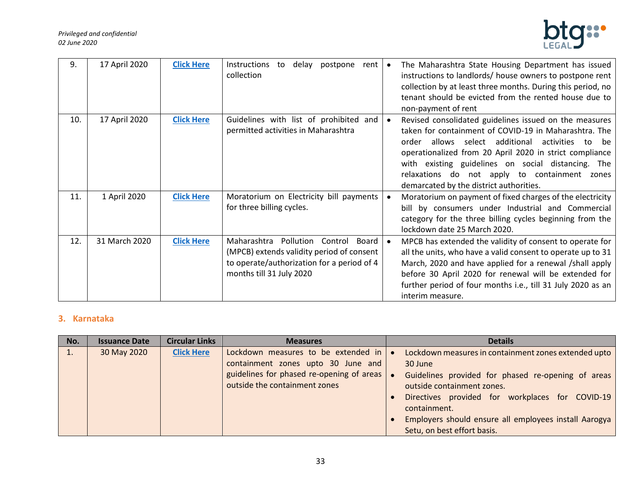

| 9.  | 17 April 2020 | <b>Click Here</b> | Instructions<br>delay<br>postpone<br>to<br>rent<br>collection                                                                                                       | $\bullet$ | The Maharashtra State Housing Department has issued<br>instructions to landlords/ house owners to postpone rent<br>collection by at least three months. During this period, no<br>tenant should be evicted from the rented house due to<br>non-payment of rent                                                                                                                               |
|-----|---------------|-------------------|---------------------------------------------------------------------------------------------------------------------------------------------------------------------|-----------|----------------------------------------------------------------------------------------------------------------------------------------------------------------------------------------------------------------------------------------------------------------------------------------------------------------------------------------------------------------------------------------------|
| 10. | 17 April 2020 | <b>Click Here</b> | Guidelines with list of prohibited and<br>permitted activities in Maharashtra                                                                                       |           | Revised consolidated guidelines issued on the measures<br>taken for containment of COVID-19 in Maharashtra. The<br>allows select additional<br>activities<br>order<br>to:<br>be<br>operationalized from 20 April 2020 in strict compliance<br>with existing guidelines on social distancing. The<br>relaxations do not apply to containment zones<br>demarcated by the district authorities. |
| 11. | 1 April 2020  | <b>Click Here</b> | Moratorium on Electricity bill payments<br>for three billing cycles.                                                                                                |           | Moratorium on payment of fixed charges of the electricity<br>bill by consumers under Industrial and Commercial<br>category for the three billing cycles beginning from the<br>lockdown date 25 March 2020.                                                                                                                                                                                   |
| 12. | 31 March 2020 | <b>Click Here</b> | Maharashtra<br>Pollution<br>Control<br>Board<br>(MPCB) extends validity period of consent<br>to operate/authorization for a period of 4<br>months till 31 July 2020 | $\bullet$ | MPCB has extended the validity of consent to operate for<br>all the units, who have a valid consent to operate up to 31<br>March, 2020 and have applied for a renewal /shall apply<br>before 30 April 2020 for renewal will be extended for<br>further period of four months i.e., till 31 July 2020 as an<br>interim measure.                                                               |

# <span id="page-32-0"></span>**3. Karnataka**

| No. | <b>Issuance Date</b> | <b>Circular Links</b> | <b>Measures</b>                                                                      | <b>Details</b>                                                                   |
|-----|----------------------|-----------------------|--------------------------------------------------------------------------------------|----------------------------------------------------------------------------------|
|     | 30 May 2020          | <b>Click Here</b>     | Lockdown measures to be extended in $\bullet$                                        | Lockdown measures in containment zones extended upto                             |
|     |                      |                       | containment zones upto 30 June and                                                   | 30 June                                                                          |
|     |                      |                       | guidelines for phased re-opening of areas $\bullet$<br>outside the containment zones | Guidelines provided for phased re-opening of areas<br>outside containment zones. |
|     |                      |                       |                                                                                      | Directives provided for workplaces for COVID-19<br>containment.                  |
|     |                      |                       |                                                                                      | Employers should ensure all employees install Aarogya                            |
|     |                      |                       |                                                                                      | Setu, on best effort basis.                                                      |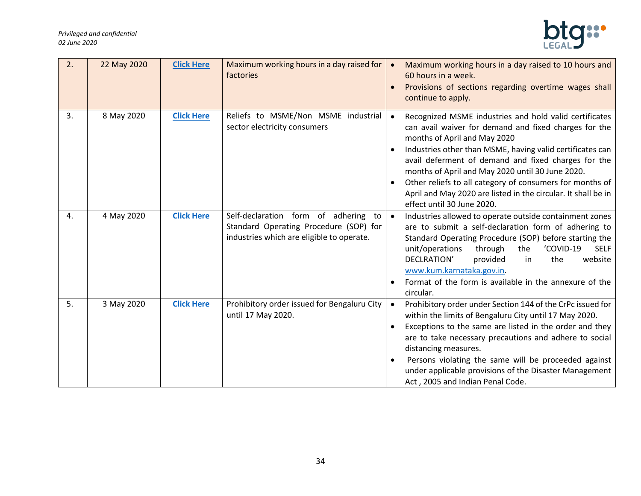

| 2. | 22 May 2020 | <b>Click Here</b> | Maximum working hours in a day raised for<br>factories                                                                         |           | Maximum working hours in a day raised to 10 hours and<br>60 hours in a week.<br>Provisions of sections regarding overtime wages shall<br>continue to apply.                                                                                                                                                                                                                                                                                                                        |
|----|-------------|-------------------|--------------------------------------------------------------------------------------------------------------------------------|-----------|------------------------------------------------------------------------------------------------------------------------------------------------------------------------------------------------------------------------------------------------------------------------------------------------------------------------------------------------------------------------------------------------------------------------------------------------------------------------------------|
| 3. | 8 May 2020  | <b>Click Here</b> | Reliefs to MSME/Non MSME industrial<br>sector electricity consumers                                                            | $\bullet$ | Recognized MSME industries and hold valid certificates<br>can avail waiver for demand and fixed charges for the<br>months of April and May 2020<br>Industries other than MSME, having valid certificates can<br>avail deferment of demand and fixed charges for the<br>months of April and May 2020 until 30 June 2020.<br>Other reliefs to all category of consumers for months of<br>April and May 2020 are listed in the circular. It shall be in<br>effect until 30 June 2020. |
| 4. | 4 May 2020  | <b>Click Here</b> | Self-declaration form of adhering<br>to<br>Standard Operating Procedure (SOP) for<br>industries which are eligible to operate. |           | Industries allowed to operate outside containment zones<br>are to submit a self-declaration form of adhering to<br>Standard Operating Procedure (SOP) before starting the<br>unit/operations<br>'COVID-19<br>through<br>the<br><b>SELF</b><br>DECLRATION'<br>the<br>website<br>provided<br>in<br>www.kum.karnataka.gov.in.<br>Format of the form is available in the annexure of the<br>circular.                                                                                  |
| 5. | 3 May 2020  | <b>Click Here</b> | Prohibitory order issued for Bengaluru City<br>until 17 May 2020.                                                              | $\bullet$ | Prohibitory order under Section 144 of the CrPc issued for<br>within the limits of Bengaluru City until 17 May 2020.<br>Exceptions to the same are listed in the order and they<br>are to take necessary precautions and adhere to social<br>distancing measures.<br>Persons violating the same will be proceeded against<br>under applicable provisions of the Disaster Management<br>Act, 2005 and Indian Penal Code.                                                            |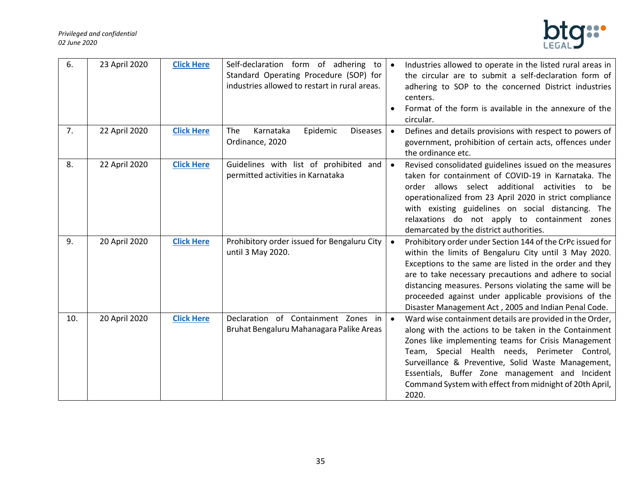#### *Privileged and confidential 02 June 2020*



| 6.  | 23 April 2020 | <b>Click Here</b> | Self-declaration form of adhering to $\bullet$<br>Standard Operating Procedure (SOP) for<br>industries allowed to restart in rural areas. |           | Industries allowed to operate in the listed rural areas in<br>the circular are to submit a self-declaration form of<br>adhering to SOP to the concerned District industries<br>centers.<br>Format of the form is available in the annexure of the<br>circular.                                                                                                                                                      |
|-----|---------------|-------------------|-------------------------------------------------------------------------------------------------------------------------------------------|-----------|---------------------------------------------------------------------------------------------------------------------------------------------------------------------------------------------------------------------------------------------------------------------------------------------------------------------------------------------------------------------------------------------------------------------|
| 7.  | 22 April 2020 | <b>Click Here</b> | Karnataka<br>Epidemic<br>The<br><b>Diseases</b><br>Ordinance, 2020                                                                        | $\bullet$ | Defines and details provisions with respect to powers of<br>government, prohibition of certain acts, offences under<br>the ordinance etc.                                                                                                                                                                                                                                                                           |
| 8.  | 22 April 2020 | <b>Click Here</b> | Guidelines with list of prohibited<br>and  <br>permitted activities in Karnataka                                                          |           | Revised consolidated guidelines issued on the measures<br>taken for containment of COVID-19 in Karnataka. The<br>allows select additional activities to<br>order<br>be<br>operationalized from 23 April 2020 in strict compliance<br>with existing guidelines on social distancing. The<br>relaxations do not apply to containment zones<br>demarcated by the district authorities.                                 |
| 9.  | 20 April 2020 | <b>Click Here</b> | Prohibitory order issued for Bengaluru City<br>until 3 May 2020.                                                                          |           | Prohibitory order under Section 144 of the CrPc issued for<br>within the limits of Bengaluru City until 3 May 2020.<br>Exceptions to the same are listed in the order and they<br>are to take necessary precautions and adhere to social<br>distancing measures. Persons violating the same will be<br>proceeded against under applicable provisions of the<br>Disaster Management Act, 2005 and Indian Penal Code. |
| 10. | 20 April 2020 | <b>Click Here</b> | Declaration of Containment Zones in<br>Bruhat Bengaluru Mahanagara Palike Areas                                                           |           | Ward wise containment details are provided in the Order,<br>along with the actions to be taken in the Containment<br>Zones like implementing teams for Crisis Management<br>Team, Special Health needs, Perimeter Control,<br>Surveillance & Preventive, Solid Waste Management,<br>Essentials, Buffer Zone management and Incident<br>Command System with effect from midnight of 20th April,<br>2020.             |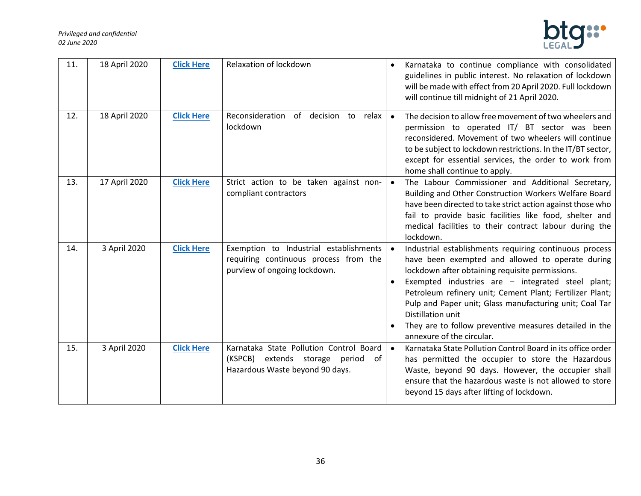

| 11. | 18 April 2020 | <b>Click Here</b> | Relaxation of lockdown                                                                                             |           | Karnataka to continue compliance with consolidated<br>guidelines in public interest. No relaxation of lockdown<br>will be made with effect from 20 April 2020. Full lockdown<br>will continue till midnight of 21 April 2020.                                                                                                                                                                                                                         |
|-----|---------------|-------------------|--------------------------------------------------------------------------------------------------------------------|-----------|-------------------------------------------------------------------------------------------------------------------------------------------------------------------------------------------------------------------------------------------------------------------------------------------------------------------------------------------------------------------------------------------------------------------------------------------------------|
| 12. | 18 April 2020 | <b>Click Here</b> | Reconsideration<br>of decision to<br>relax<br>lockdown                                                             | $\bullet$ | The decision to allow free movement of two wheelers and<br>permission to operated IT/ BT sector was been<br>reconsidered. Movement of two wheelers will continue<br>to be subject to lockdown restrictions. In the IT/BT sector,<br>except for essential services, the order to work from<br>home shall continue to apply.                                                                                                                            |
| 13. | 17 April 2020 | <b>Click Here</b> | Strict action to be taken against non-<br>compliant contractors                                                    |           | The Labour Commissioner and Additional Secretary,<br>Building and Other Construction Workers Welfare Board<br>have been directed to take strict action against those who<br>fail to provide basic facilities like food, shelter and<br>medical facilities to their contract labour during the<br>lockdown.                                                                                                                                            |
| 14. | 3 April 2020  | <b>Click Here</b> | Exemption to Industrial establishments<br>requiring continuous process from the<br>purview of ongoing lockdown.    |           | Industrial establishments requiring continuous process<br>have been exempted and allowed to operate during<br>lockdown after obtaining requisite permissions.<br>Exempted industries are - integrated steel plant;<br>Petroleum refinery unit; Cement Plant; Fertilizer Plant;<br>Pulp and Paper unit; Glass manufacturing unit; Coal Tar<br>Distillation unit<br>They are to follow preventive measures detailed in the<br>annexure of the circular. |
| 15. | 3 April 2020  | <b>Click Here</b> | Karnataka State Pollution Control Board<br>(KSPCB) extends storage period<br>of<br>Hazardous Waste beyond 90 days. |           | Karnataka State Pollution Control Board in its office order<br>has permitted the occupier to store the Hazardous<br>Waste, beyond 90 days. However, the occupier shall<br>ensure that the hazardous waste is not allowed to store<br>beyond 15 days after lifting of lockdown.                                                                                                                                                                        |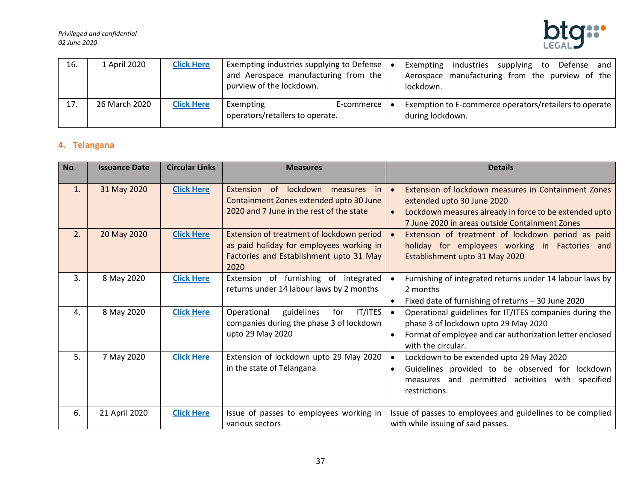#### *Privileged and confidential 02 June 2020*



| 16. | 1 April 2020  | <b>Click Here</b> | Exempting industries supplying to Defense $\vert \bullet \vert$<br>and Aerospace manufacturing from the<br>purview of the lockdown. | industries<br>supplying<br>Defense and<br>Exempting<br>to<br>Aerospace manufacturing from the purview of the<br>lockdown. |
|-----|---------------|-------------------|-------------------------------------------------------------------------------------------------------------------------------------|---------------------------------------------------------------------------------------------------------------------------|
| 17. | 26 March 2020 | <b>Click Here</b> | Exempting<br>E-commerce  <br>operators/retailers to operate.                                                                        | Exemption to E-commerce operators/retailers to operate<br>during lockdown.                                                |

# <span id="page-36-0"></span>**4. Telangana**

| No. | <b>Issuance Date</b> | <b>Circular Links</b> | <b>Measures</b>                                                                                                                            | <b>Details</b>                                                                                                                                                                                 |
|-----|----------------------|-----------------------|--------------------------------------------------------------------------------------------------------------------------------------------|------------------------------------------------------------------------------------------------------------------------------------------------------------------------------------------------|
| 1.  | 31 May 2020          | <b>Click Here</b>     | of<br>Extension<br>lockdown measures<br>in in<br>Containment Zones extended upto 30 June<br>2020 and 7 June in the rest of the state       | Extension of lockdown measures in Containment Zones<br>extended upto 30 June 2020<br>Lockdown measures already in force to be extended upto<br>7 June 2020 in areas outside Containment Zones  |
| 2.  | 20 May 2020          | <b>Click Here</b>     | Extension of treatment of lockdown period  <br>as paid holiday for employees working in<br>Factories and Establishment upto 31 May<br>2020 | Extension of treatment of lockdown period as paid<br>holiday for employees working in Factories and<br>Establishment upto 31 May 2020                                                          |
| 3.  | 8 May 2020           | <b>Click Here</b>     | Extension of furnishing of integrated<br>returns under 14 labour laws by 2 months                                                          | Furnishing of integrated returns under 14 labour laws by<br>2 months<br>Fixed date of furnishing of returns - 30 June 2020                                                                     |
| 4.  | 8 May 2020           | <b>Click Here</b>     | IT/ITES<br>Operational<br>guidelines<br>for<br>companies during the phase 3 of lockdown<br>upto 29 May 2020                                | Operational guidelines for IT/ITES companies during the<br>phase 3 of lockdown upto 29 May 2020<br>Format of employee and car authorization letter enclosed<br>$\bullet$<br>with the circular. |
| 5.  | 7 May 2020           | <b>Click Here</b>     | Extension of lockdown upto 29 May 2020<br>in the state of Telangana                                                                        | Lockdown to be extended upto 29 May 2020<br>Guidelines provided to be observed for lockdown<br>$\bullet$<br>measures and permitted activities with specified<br>restrictions.                  |
| 6.  | 21 April 2020        | <b>Click Here</b>     | Issue of passes to employees working in<br>various sectors                                                                                 | Issue of passes to employees and guidelines to be complied<br>with while issuing of said passes.                                                                                               |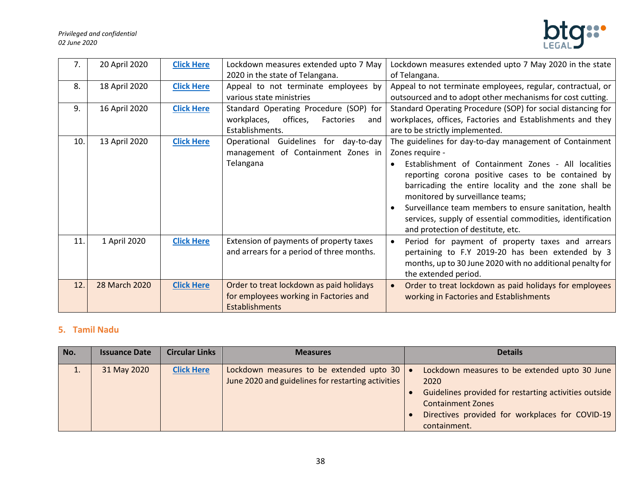

| 7.  | 20 April 2020 | <b>Click Here</b> | Lockdown measures extended upto 7 May       | Lockdown measures extended upto 7 May 2020 in the state       |
|-----|---------------|-------------------|---------------------------------------------|---------------------------------------------------------------|
|     |               |                   | 2020 in the state of Telangana.             | of Telangana.                                                 |
| 8.  | 18 April 2020 | <b>Click Here</b> | Appeal to not terminate employees by        | Appeal to not terminate employees, regular, contractual, or   |
|     |               |                   | various state ministries                    | outsourced and to adopt other mechanisms for cost cutting.    |
| 9.  | 16 April 2020 | <b>Click Here</b> | Standard Operating Procedure (SOP) for      | Standard Operating Procedure (SOP) for social distancing for  |
|     |               |                   | offices,<br>workplaces,<br>Factories<br>and | workplaces, offices, Factories and Establishments and they    |
|     |               |                   | Establishments.                             | are to be strictly implemented.                               |
| 10. | 13 April 2020 | <b>Click Here</b> | Operational Guidelines for day-to-day       | The guidelines for day-to-day management of Containment       |
|     |               |                   | management of Containment Zones in          | Zones require -                                               |
|     |               |                   | Telangana                                   | Establishment of Containment Zones - All localities           |
|     |               |                   |                                             | reporting corona positive cases to be contained by            |
|     |               |                   |                                             | barricading the entire locality and the zone shall be         |
|     |               |                   |                                             | monitored by surveillance teams;                              |
|     |               |                   |                                             | Surveillance team members to ensure sanitation, health        |
|     |               |                   |                                             | services, supply of essential commodities, identification     |
|     |               |                   |                                             | and protection of destitute, etc.                             |
| 11. | 1 April 2020  | <b>Click Here</b> | Extension of payments of property taxes     | Period for payment of property taxes and arrears<br>$\bullet$ |
|     |               |                   | and arrears for a period of three months.   | pertaining to F.Y 2019-20 has been extended by 3              |
|     |               |                   |                                             | months, up to 30 June 2020 with no additional penalty for     |
|     |               |                   |                                             | the extended period.                                          |
| 12. | 28 March 2020 | <b>Click Here</b> | Order to treat lockdown as paid holidays    | Order to treat lockdown as paid holidays for employees        |
|     |               |                   | for employees working in Factories and      | working in Factories and Establishments                       |
|     |               |                   | <b>Establishments</b>                       |                                                               |

# <span id="page-37-0"></span>**5. Tamil Nadu**

| No. | <b>Issuance Date</b> | <b>Circular Links</b> | <b>Measures</b>                                                                                | <b>Details</b>                                                                                                                                                                                                |
|-----|----------------------|-----------------------|------------------------------------------------------------------------------------------------|---------------------------------------------------------------------------------------------------------------------------------------------------------------------------------------------------------------|
| π.  | 31 May 2020          | <b>Click Here</b>     | Lockdown measures to be extended upto 30<br>June 2020 and guidelines for restarting activities | Lockdown measures to be extended upto 30 June<br>2020<br>Guidelines provided for restarting activities outside<br><b>Containment Zones</b><br>Directives provided for workplaces for COVID-19<br>containment. |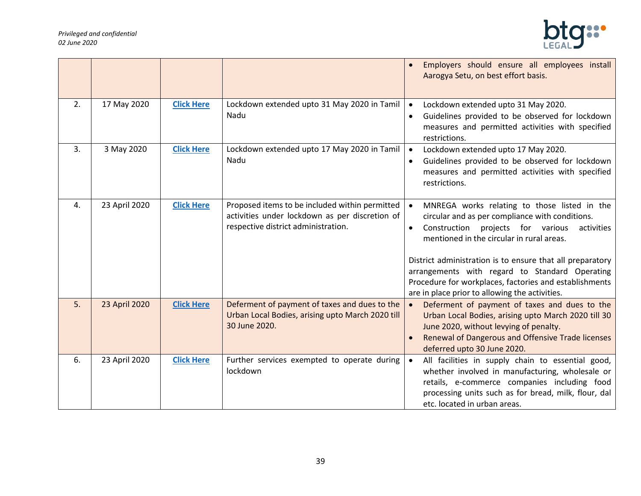

|    |               |                   |                                                                                                                                         | Employers should ensure all employees install<br>Aarogya Setu, on best effort basis.                                                                                                                                                                                                                                                                                                                                                                 |
|----|---------------|-------------------|-----------------------------------------------------------------------------------------------------------------------------------------|------------------------------------------------------------------------------------------------------------------------------------------------------------------------------------------------------------------------------------------------------------------------------------------------------------------------------------------------------------------------------------------------------------------------------------------------------|
| 2. | 17 May 2020   | <b>Click Here</b> | Lockdown extended upto 31 May 2020 in Tamil<br>Nadu                                                                                     | Lockdown extended upto 31 May 2020.<br>$\bullet$<br>Guidelines provided to be observed for lockdown<br>$\bullet$<br>measures and permitted activities with specified<br>restrictions.                                                                                                                                                                                                                                                                |
| 3. | 3 May 2020    | <b>Click Here</b> | Lockdown extended upto 17 May 2020 in Tamil<br>Nadu                                                                                     | Lockdown extended upto 17 May 2020.<br>$\bullet$<br>Guidelines provided to be observed for lockdown<br>measures and permitted activities with specified<br>restrictions.                                                                                                                                                                                                                                                                             |
| 4. | 23 April 2020 | <b>Click Here</b> | Proposed items to be included within permitted<br>activities under lockdown as per discretion of<br>respective district administration. | MNREGA works relating to those listed in the<br>$\bullet$<br>circular and as per compliance with conditions.<br>Construction projects for various<br>activities<br>$\bullet$<br>mentioned in the circular in rural areas.<br>District administration is to ensure that all preparatory<br>arrangements with regard to Standard Operating<br>Procedure for workplaces, factories and establishments<br>are in place prior to allowing the activities. |
| 5. | 23 April 2020 | <b>Click Here</b> | Deferment of payment of taxes and dues to the<br>Urban Local Bodies, arising upto March 2020 till<br>30 June 2020.                      | Deferment of payment of taxes and dues to the<br>$\bullet$<br>Urban Local Bodies, arising upto March 2020 till 30<br>June 2020, without levying of penalty.<br>Renewal of Dangerous and Offensive Trade licenses<br>deferred upto 30 June 2020.                                                                                                                                                                                                      |
| 6. | 23 April 2020 | <b>Click Here</b> | Further services exempted to operate during<br>lockdown                                                                                 | All facilities in supply chain to essential good,<br>$\bullet$<br>whether involved in manufacturing, wholesale or<br>retails, e-commerce companies including food<br>processing units such as for bread, milk, flour, dal<br>etc. located in urban areas.                                                                                                                                                                                            |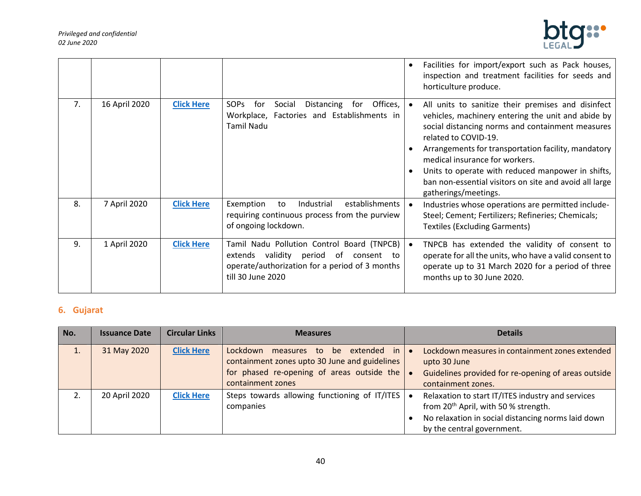

|    |               |                   |                                                                                                                                                               | Facilities for import/export such as Pack houses,<br>٠<br>inspection and treatment facilities for seeds and<br>horticulture produce.                                                                                                                                                                                                                                                                                              |
|----|---------------|-------------------|---------------------------------------------------------------------------------------------------------------------------------------------------------------|-----------------------------------------------------------------------------------------------------------------------------------------------------------------------------------------------------------------------------------------------------------------------------------------------------------------------------------------------------------------------------------------------------------------------------------|
| 7. | 16 April 2020 | <b>Click Here</b> | <b>SOPs</b><br>Offices,<br>Social<br>Distancing<br>for<br>for<br>Workplace, Factories and Establishments in<br><b>Tamil Nadu</b>                              | All units to sanitize their premises and disinfect<br>vehicles, machinery entering the unit and abide by<br>social distancing norms and containment measures<br>related to COVID-19.<br>Arrangements for transportation facility, mandatory<br>medical insurance for workers.<br>Units to operate with reduced manpower in shifts,<br>$\bullet$<br>ban non-essential visitors on site and avoid all large<br>gatherings/meetings. |
| 8. | 7 April 2020  | <b>Click Here</b> | establishments<br>Exemption<br>Industrial<br>to<br>requiring continuous process from the purview<br>of ongoing lockdown.                                      | Industries whose operations are permitted include-<br>Steel; Cement; Fertilizers; Refineries; Chemicals;<br><b>Textiles (Excluding Garments)</b>                                                                                                                                                                                                                                                                                  |
| 9. | 1 April 2020  | <b>Click Here</b> | Tamil Nadu Pollution Control Board (TNPCB)<br>extends validity period<br>of consent to<br>operate/authorization for a period of 3 months<br>till 30 June 2020 | TNPCB has extended the validity of consent to<br>operate for all the units, who have a valid consent to<br>operate up to 31 March 2020 for a period of three<br>months up to 30 June 2020.                                                                                                                                                                                                                                        |

# <span id="page-39-0"></span>**6. Gujarat**

| No. | <b>Issuance Date</b> | <b>Circular Links</b> | <b>Measures</b>                                                                                                                                                  | <b>Details</b>                                                                                                                                                                            |
|-----|----------------------|-----------------------|------------------------------------------------------------------------------------------------------------------------------------------------------------------|-------------------------------------------------------------------------------------------------------------------------------------------------------------------------------------------|
| ⊥.  | 31 May 2020          | <b>Click Here</b>     | extended in<br>Lockdown<br>measures to<br>be<br>containment zones upto 30 June and guidelines<br>for phased re-opening of areas outside the<br>containment zones | Lockdown measures in containment zones extended<br>upto 30 June<br>Guidelines provided for re-opening of areas outside<br>containment zones.                                              |
|     | 20 April 2020        | <b>Click Here</b>     | Steps towards allowing functioning of IT/ITES<br>companies                                                                                                       | Relaxation to start IT/ITES industry and services<br>from 20 <sup>th</sup> April, with 50 % strength.<br>No relaxation in social distancing norms laid down<br>by the central government. |